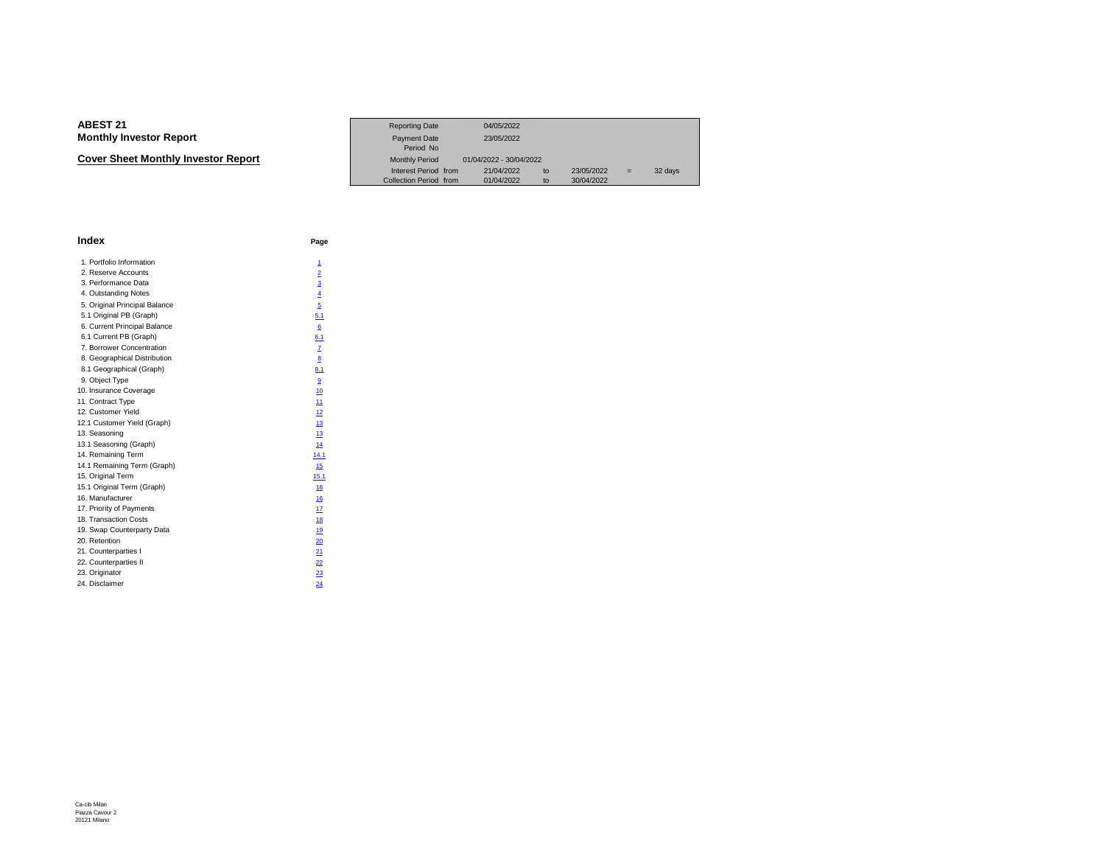**Cover Sheet Monthly Investor Report**

|                             | <b>Reporting Date</b>  | 04/05/2022              |                  |     |         |
|-----------------------------|------------------------|-------------------------|------------------|-----|---------|
| Investor Report             | Payment Date           | 23/05/2022              |                  |     |         |
|                             | Period No              |                         |                  |     |         |
| eet Monthlv Investor Report | <b>Monthly Period</b>  | 01/04/2022 - 30/04/2022 |                  |     |         |
|                             | Interest Period from   | 21/04/2022              | 23/05/2022<br>to | $=$ | 32 days |
|                             | Collection Period from | 01/04/2022              | 30/04/2022<br>to |     |         |

| <b>Index</b>                  | Page                    |
|-------------------------------|-------------------------|
| 1. Portfolio Information      | 1                       |
| 2. Reserve Accounts           | $\overline{2}$          |
| 3. Performance Data           | $\overline{3}$          |
| 4. Outstanding Notes          | $\overline{4}$          |
| 5. Original Principal Balance | 5                       |
| 5.1 Original PB (Graph)       | 5.1                     |
| 6. Current Principal Balance  | 6                       |
| 6.1 Current PB (Graph)        | 6.1                     |
| 7. Borrower Concentration     | $\overline{1}$          |
| 8. Geographical Distribution  | $\overline{\mathbf{8}}$ |
| 8.1 Geographical (Graph)      | 8.1                     |
| 9. Object Type                | $\overline{9}$          |
| 10. Insurance Coverage        | 10                      |
| 11. Contract Type             | 11                      |
| 12. Customer Yield            | 12                      |
| 12.1 Customer Yield (Graph)   | 13                      |
| 13. Seasoning                 | 13                      |
| 13.1 Seasoning (Graph)        | 14                      |
| 14. Remaining Term            | 14.1                    |
| 14.1 Remaining Term (Graph)   | 15                      |
| 15. Original Term             | 15.1                    |
| 15.1 Original Term (Graph)    | 16                      |
| 16. Manufacturer              | 16                      |
| 17. Priority of Payments      | 17                      |
| 18. Transaction Costs         | 18                      |
| 19. Swap Counterparty Data    | 19                      |
| 20. Retention                 | 20                      |
| 21. Counterparties I          | 21                      |
| 22. Counterparties II         | 22                      |
| 23. Originator                | 23                      |
| 24. Disclaimer                | 24                      |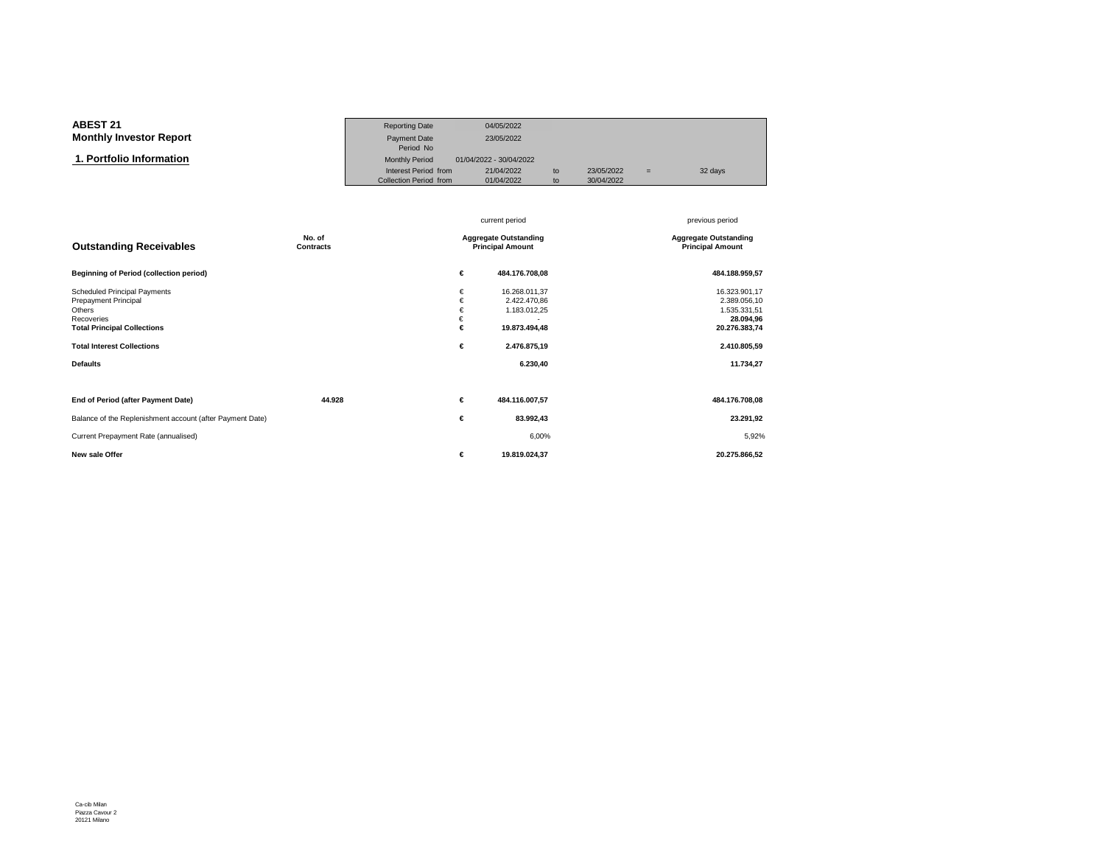#### **ABEST 21**Reporting Date 04/05/2022<br>Payment Date 23/05/2022 **Monthly Investor ReportT** Payment Date 23/05/2022<br>Period No Period No  $\overline{\mathbf{n}}$  Monthly Period 01/04/2022 - 30/04/2022  **1. Portfolio Information**Interest Period from 21/04/2022 to 23/05/2022 = 32 days<br>Collection Period from 01/04/2022 to 30/04/2022 Collection Period from

|                                                                                                                                                                                          |                     |                                                         | current period                                                                             | previous period                                                                                          |
|------------------------------------------------------------------------------------------------------------------------------------------------------------------------------------------|---------------------|---------------------------------------------------------|--------------------------------------------------------------------------------------------|----------------------------------------------------------------------------------------------------------|
| <b>Outstanding Receivables</b>                                                                                                                                                           | No. of<br>Contracts | <b>Aggregate Outstanding</b><br><b>Principal Amount</b> |                                                                                            | <b>Aggregate Outstanding</b><br><b>Principal Amount</b>                                                  |
| <b>Beginning of Period (collection period)</b>                                                                                                                                           |                     | €                                                       | 484.176.708,08                                                                             | 484.188.959,57                                                                                           |
| <b>Scheduled Principal Payments</b><br><b>Prepayment Principal</b><br>Others<br>Recoveries<br><b>Total Principal Collections</b><br><b>Total Interest Collections</b><br><b>Defaults</b> |                     | €<br>€<br>€<br>€<br>€<br>€                              | 16.268.011,37<br>2.422.470.86<br>1.183.012,25<br>19.873.494,48<br>2.476.875,19<br>6.230,40 | 16.323.901,17<br>2.389.056,10<br>1.535.331,51<br>28.094,96<br>20.276.383,74<br>2.410.805,59<br>11.734,27 |
| End of Period (after Payment Date)                                                                                                                                                       | 44.928              | €                                                       | 484.116.007,57                                                                             | 484.176.708,08                                                                                           |
| Balance of the Replenishment account (after Payment Date)                                                                                                                                |                     | €                                                       | 83.992,43                                                                                  | 23.291,92                                                                                                |
| Current Prepayment Rate (annualised)                                                                                                                                                     |                     |                                                         | 6,00%                                                                                      | 5,92%                                                                                                    |
| New sale Offer                                                                                                                                                                           |                     | €                                                       | 19.819.024,37                                                                              | 20.275.866,52                                                                                            |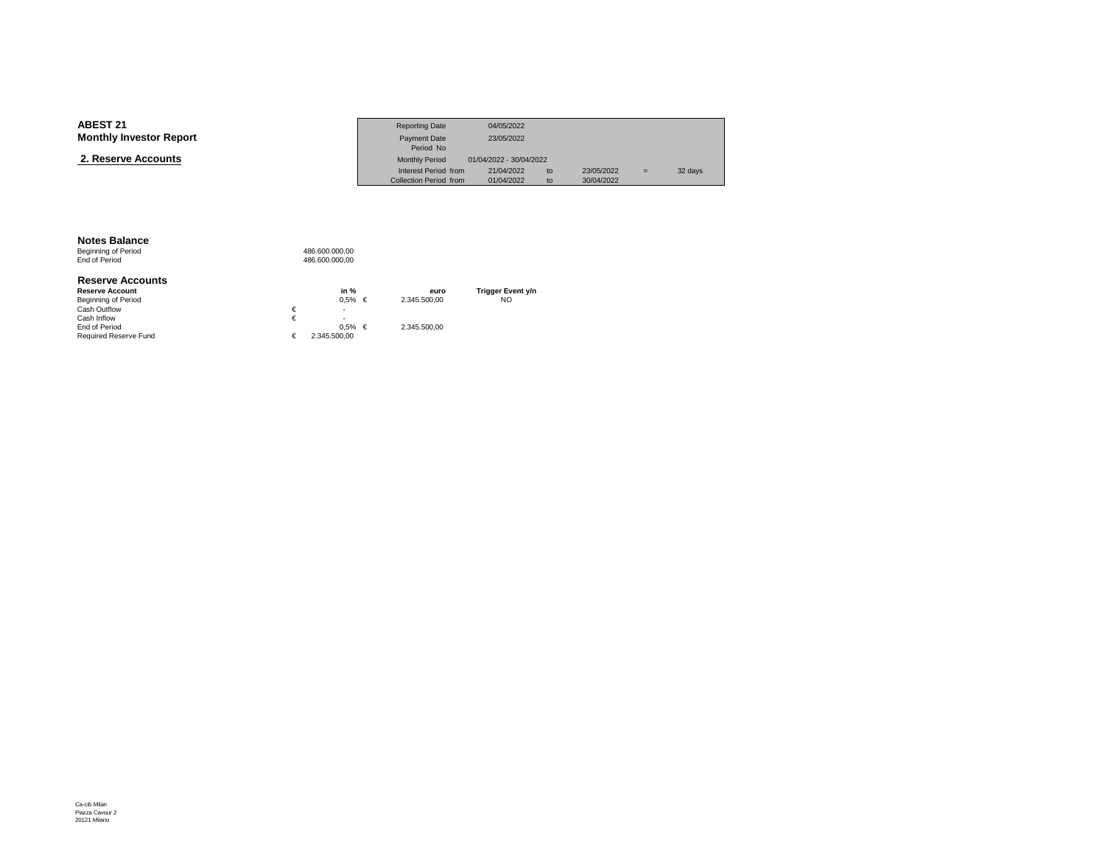| <b>ABEST 21</b>                | <b>Reporting Date</b>  | 04/05/2022              |    |            |     |         |
|--------------------------------|------------------------|-------------------------|----|------------|-----|---------|
| <b>Monthly Investor Report</b> | Payment Date           | 23/05/2022              |    |            |     |         |
|                                | Period No              |                         |    |            |     |         |
| 2. Reserve Accounts            | <b>Monthly Period</b>  | 01/04/2022 - 30/04/2022 |    |            |     |         |
|                                | Interest Period from   | 21/04/2022              | to | 23/05/2022 | $=$ | 32 days |
|                                | Collection Period from | 01/04/2022              | to | 30/04/2022 |     |         |

#### **Notes Balance**

Beginning of Period<br>End of Period 486.600.000,00 486.600.000,00

#### **Reserve Accounts**

| <b>Reserve Account</b>       |   | in %          | euro         | Trigger Event y/n |
|------------------------------|---|---------------|--------------|-------------------|
| <b>Beginning of Period</b>   |   | $0.5\%$ $\in$ | 2.345.500.00 | NO                |
| Cash Outflow                 | € | ۰             |              |                   |
| Cash Inflow                  |   |               |              |                   |
| End of Period                |   | $0.5\% \in$   | 2.345.500.00 |                   |
| <b>Required Reserve Fund</b> |   | 2.345.500.00  |              |                   |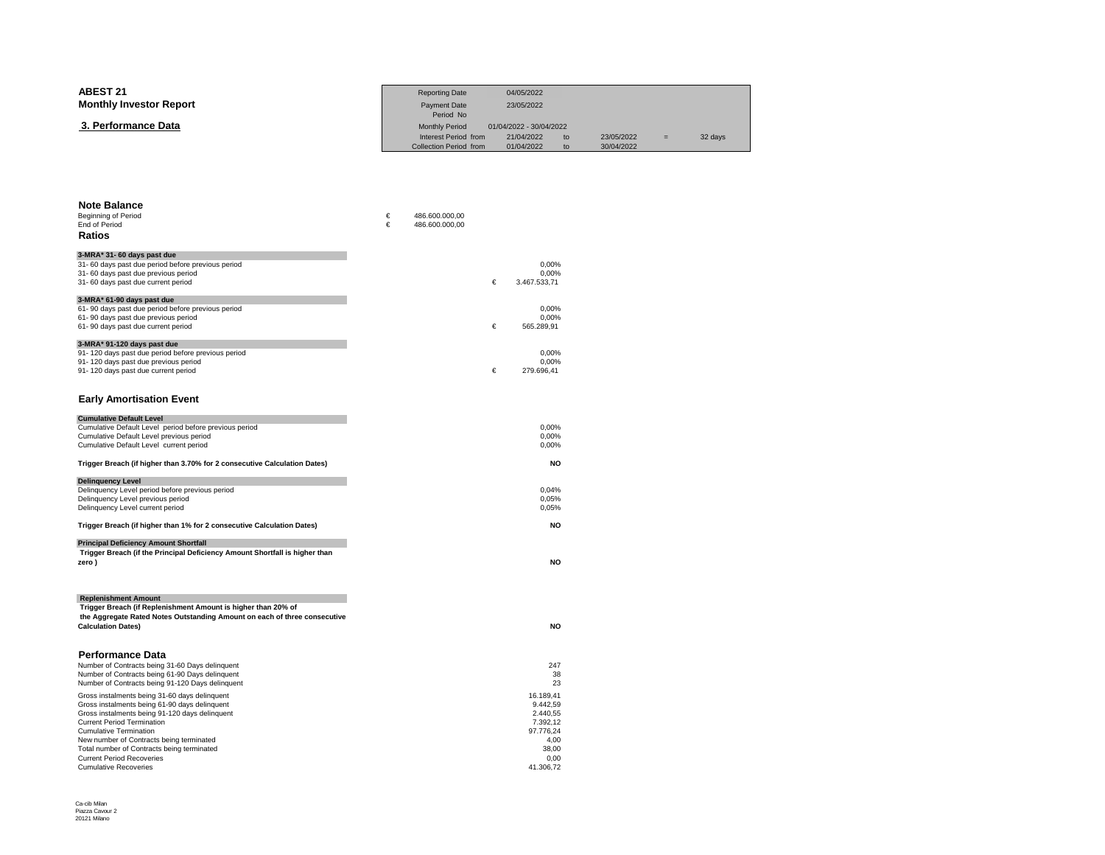| ABEST 21                       | <b>Reporting Date</b>         | 04/05/2022              |     |            |     |         |
|--------------------------------|-------------------------------|-------------------------|-----|------------|-----|---------|
| <b>Monthly Investor Report</b> | Payment Date                  | 23/05/2022              |     |            |     |         |
|                                | Period No                     |                         |     |            |     |         |
| 3. Performance Data            | <b>Monthly Period</b>         | 01/04/2022 - 30/04/2022 |     |            |     |         |
|                                | Interest Period from          | 21/04/2022              | to  | 23/05/2022 | $=$ | 32 days |
|                                | <b>Collection Period from</b> | 01/04/2022              | to. | 30/04/2022 |     |         |

| <b>Note Balance</b>                                                                 |   |                |   |                |
|-------------------------------------------------------------------------------------|---|----------------|---|----------------|
| <b>Beginning of Period</b>                                                          | € | 486.600.000,00 |   |                |
| <b>End of Period</b>                                                                | € | 486.600.000,00 |   |                |
| Ratios                                                                              |   |                |   |                |
| 3-MRA* 31- 60 days past due                                                         |   |                |   |                |
| 31- 60 days past due period before previous period                                  |   |                |   | 0,00%          |
| 31-60 days past due previous period                                                 |   |                |   | 0.00%          |
| 31-60 days past due current period                                                  |   |                | € | 3.467.533,71   |
| 3-MRA* 61-90 days past due                                                          |   |                |   |                |
| 61-90 days past due period before previous period                                   |   |                |   | 0,00%          |
| 61-90 days past due previous period                                                 |   |                |   | 0.00%          |
| 61-90 days past due current period                                                  |   |                | € | 565.289,91     |
| 3-MRA* 91-120 days past due                                                         |   |                |   |                |
| 91-120 days past due period before previous period                                  |   |                |   | 0,00%          |
| 91-120 days past due previous period                                                |   |                |   | 0,00%          |
| 91-120 days past due current period                                                 |   |                | € | 279.696,41     |
|                                                                                     |   |                |   |                |
| <b>Early Amortisation Event</b>                                                     |   |                |   |                |
|                                                                                     |   |                |   |                |
| <b>Cumulative Default Level</b>                                                     |   |                |   |                |
| Cumulative Default Level period before previous period                              |   |                |   | 0,00%<br>0,00% |
| Cumulative Default Level previous period<br>Cumulative Default Level current period |   |                |   | 0,00%          |
|                                                                                     |   |                |   |                |
| Trigger Breach (if higher than 3.70% for 2 consecutive Calculation Dates)           |   |                |   | <b>NO</b>      |
| <b>Delinguency Level</b>                                                            |   |                |   |                |
| Delinquency Level period before previous period                                     |   |                |   | 0,04%          |
| Delinquency Level previous period                                                   |   |                |   | 0,05%          |
| Delinquency Level current period                                                    |   |                |   | 0,05%          |
| Trigger Breach (if higher than 1% for 2 consecutive Calculation Dates)              |   |                |   | <b>NO</b>      |
| <b>Principal Deficiency Amount Shortfall</b>                                        |   |                |   |                |
| Trigger Breach (if the Principal Deficiency Amount Shortfall is higher than         |   |                |   |                |
| zero)                                                                               |   |                |   | <b>NO</b>      |
|                                                                                     |   |                |   |                |
|                                                                                     |   |                |   |                |
| <b>Replenishment Amount</b>                                                         |   |                |   |                |
| Trigger Breach (if Replenishment Amount is higher than 20% of                       |   |                |   |                |
| the Aggregate Rated Notes Outstanding Amount on each of three consecutive           |   |                |   |                |
| <b>Calculation Dates)</b>                                                           |   |                |   | <b>NO</b>      |
|                                                                                     |   |                |   |                |
| <b>Performance Data</b>                                                             |   |                |   |                |
| Number of Contracts being 31-60 Days delinquent                                     |   |                |   | 247            |
| Number of Contracts being 61-90 Days delinquent                                     |   |                |   | 38             |
| Number of Contracts being 91-120 Days delinquent                                    |   |                |   | 23             |
| Gross instalments being 31-60 days delinquent                                       |   |                |   | 16.189,41      |
| Gross instalments being 61-90 days delinquent                                       |   |                |   | 9.442,59       |
| Gross instalments being 91-120 days delinquent                                      |   |                |   | 2.440,55       |
| <b>Current Period Termination</b>                                                   |   |                |   | 7.392,12       |
| <b>Cumulative Termination</b>                                                       |   |                |   | 97.776,24      |
| New number of Contracts being terminated                                            |   |                |   | 4,00<br>38,00  |
| Total number of Contracts being terminated<br><b>Current Period Recoveries</b>      |   |                |   | 0.00           |
| <b>Cumulative Recoveries</b>                                                        |   |                |   | 41.306.72      |
|                                                                                     |   |                |   |                |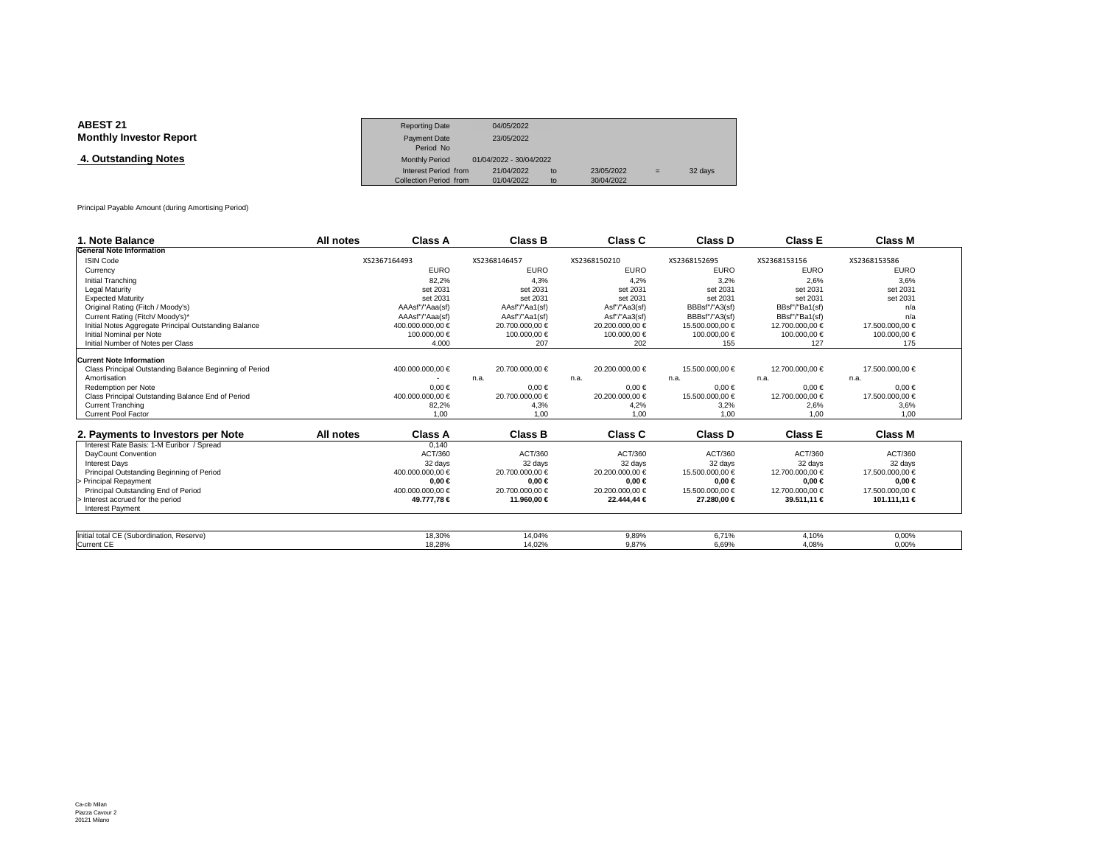| <b>ABEST 21</b>                | <b>Reporting Date</b>  | 04/05/2022              |    |            |     |         |
|--------------------------------|------------------------|-------------------------|----|------------|-----|---------|
| <b>Monthly Investor Report</b> | Payment Date           | 23/05/2022              |    |            |     |         |
|                                | Period No              |                         |    |            |     |         |
| 4. Outstanding Notes           | <b>Monthly Period</b>  | 01/04/2022 - 30/04/2022 |    |            |     |         |
|                                | Interest Period from   | 21/04/2022              | to | 23/05/2022 | $=$ | 32 days |
|                                | Collection Period from | 01/04/2022              | to | 30/04/2022 |     |         |

Principal Payable Amount (during Amortising Period)

| 1. Note Balance                                         | All notes | Class A          | <b>Class B</b>  |              | Class C         | Class D         | <b>Class E</b>  | <b>Class M</b>  |
|---------------------------------------------------------|-----------|------------------|-----------------|--------------|-----------------|-----------------|-----------------|-----------------|
| <b>General Note Information</b>                         |           |                  |                 |              |                 |                 |                 |                 |
| <b>ISIN Code</b>                                        |           | XS2367164493     | XS2368146457    | XS2368150210 |                 | XS2368152695    | XS2368153156    | XS2368153586    |
| Currency                                                |           | <b>EURO</b>      | <b>EURO</b>     |              | <b>EURO</b>     | <b>EURO</b>     | <b>EURO</b>     | <b>EURO</b>     |
| Initial Tranching                                       |           | 82.2%            | 4.3%            |              | 4.2%            | 3.2%            | 2.6%            | 3.6%            |
| <b>Legal Maturity</b>                                   |           | set 2031         | set 2031        |              | set 2031        | set 2031        | set 2031        | set 2031        |
| <b>Expected Maturity</b>                                |           | set 2031         | set 2031        |              | set 2031        | set 2031        | set 2031        | set 2031        |
| Original Rating (Fitch / Moody's)                       |           | AAAsf"/"Aaa(sf)  | AAsf"/"Aa1(sf)  |              | Asf"/"Aa3(sf)   | BBBsf"/"A3(sf)  | BBsf"/"Ba1(sf)  | n/a             |
| Current Rating (Fitch/ Moody's)*                        |           | AAAsf"/"Aaa(sf)  | AAsf"/"Aa1(sf)  |              | Asf"/"Aa3(sf)   | BBBsf"/"A3(sf)  | BBsf"/"Ba1(sf)  | n/a             |
| Initial Notes Aggregate Principal Outstanding Balance   |           | 400.000.000.00 € | 20.700.000.00 € |              | 20,200,000,00 € | 15.500.000,00 € | 12.700.000,00 € | 17.500.000,00 € |
| Initial Nominal per Note                                |           | 100.000,00 €     | 100.000,00 €    |              | 100.000,00 €    | 100.000,00 €    | 100000,00 €     | 100.000,00 €    |
| Initial Number of Notes per Class                       |           | 4.000            | 207             |              | 202             | 155             | 127             | 175             |
| <b>Current Note Information</b>                         |           |                  |                 |              |                 |                 |                 |                 |
| Class Principal Outstanding Balance Beginning of Period |           | 400.000.000,00 € | 20.700.000.00 € |              | 20.200.000.00 € | 15.500.000.00 € | 12.700.000.00 € | 17.500.000.00 € |
| Amortisation                                            |           |                  | n.a.            | n.a.         |                 | n.a.            | n.a.            | n.a.            |
| Redemption per Note                                     |           | $0.00 \in$       | $0.00 \in$      |              | $0.00 \in$      | $0.00 \in$      | $0.00 \in$      | $0.00 \in$      |
| Class Principal Outstanding Balance End of Period       |           | 400.000.000,00 € | 20.700.000,00 € |              | 20.200.000,00 € | 15.500.000,00 € | 12.700.000,00 € | 17.500.000,00 € |
| <b>Current Tranching</b>                                |           | 82,2%            | 4,3%            |              | 4,2%            | 3,2%            | 2,6%            | 3,6%            |
| <b>Current Pool Factor</b>                              |           | 1.00             | 1.00            |              | 1.00            | 1.00            | 1.00            | 1.00            |
|                                                         |           |                  |                 |              |                 |                 |                 |                 |
| 2. Payments to Investors per Note                       | All notes | <b>Class A</b>   | <b>Class B</b>  |              | Class C         | Class D         | <b>Class E</b>  | Class M         |
| Interest Rate Basis: 1-M Euribor / Spread               |           | 0.140            |                 |              |                 |                 |                 |                 |
| DavCount Convention                                     |           | ACT/360          | ACT/360         |              | ACT/360         | ACT/360         | ACT/360         | ACT/360         |
| <b>Interest Davs</b>                                    |           | 32 days          | 32 days         |              | 32 days         | 32 days         | 32 days         | 32 days         |
| Principal Outstanding Beginning of Period               |           | 400.000.000,00 € | 20.700.000,00 € |              | 20.200.000,00 € | 15.500.000,00 € | 12.700.000.00 € | 17.500.000,00 € |
| Principal Repayment                                     |           | $0.00 \in$       | $0.00 \in$      |              | $0.00 \in$      | $0.00 \in$      | $0.00 \in$      | $0.00 \in$      |
| Principal Outstanding End of Period                     |           | 400.000.000.00 € | 20.700.000.00 € |              | 20.200.000.00 € | 15.500.000.00 € | 12.700.000.00 € | 17.500.000.00 € |
| Interest accrued for the period                         |           | 49.777,78 €      | 11.960,00 €     |              | 22.444.44 €     | 27.280,00 €     | 39.511,1 €      | 101.111,11 €    |
| <b>Interest Payment</b>                                 |           |                  |                 |              |                 |                 |                 |                 |
|                                                         |           |                  |                 |              |                 |                 |                 |                 |
| Initial total CE (Subordination, Reserve)               |           | 18.30%           | 14.04%          |              | 9,89%           | 6.71%           | 4.10%           | 0,00%           |
| <b>Current CE</b>                                       |           | 18.28%           | 14.02%          |              | 9.87%           | 6.69%           | 4.08%           | 0.00%           |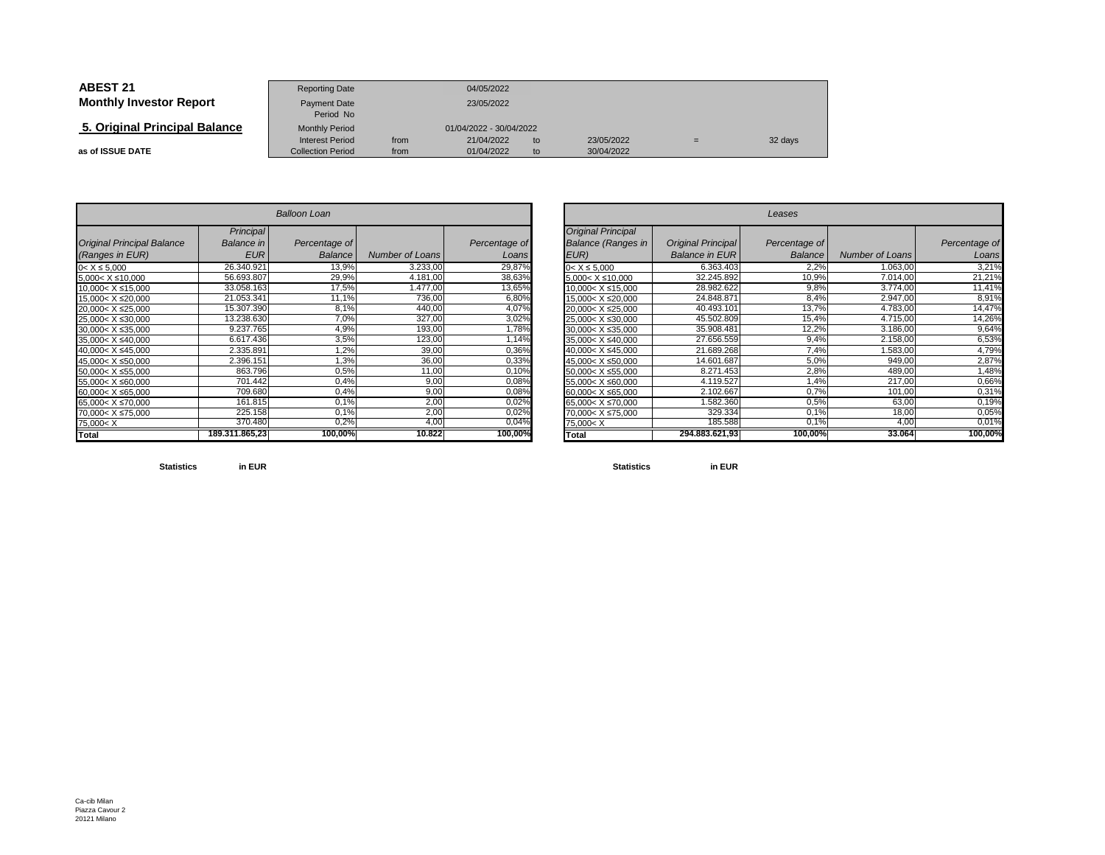| <b>ABEST 21</b>                | <b>Reporting Date</b>                              |              | 04/05/2022               |          |                          |  |         |
|--------------------------------|----------------------------------------------------|--------------|--------------------------|----------|--------------------------|--|---------|
| <b>Monthly Investor Report</b> | Payment Date<br>Period No                          | 23/05/2022   |                          |          |                          |  |         |
| 5. Original Principal Balance  | <b>Monthly Period</b>                              |              | 01/04/2022 - 30/04/2022  |          |                          |  |         |
| as of ISSUE DATE               | <b>Interest Period</b><br><b>Collection Period</b> | from<br>from | 21/04/2022<br>01/04/2022 | to<br>to | 23/05/2022<br>30/04/2022 |  | 32 days |

|                                                                                | <b>Balloon Loan</b>     |               |                        |               |  |  |  |  |  |  |
|--------------------------------------------------------------------------------|-------------------------|---------------|------------------------|---------------|--|--|--|--|--|--|
| <b>Original Principal Balance</b>                                              | Principal<br>Balance in | Percentage of |                        | Percentage of |  |  |  |  |  |  |
| (Ranges in EUR)                                                                | <b>EUR</b>              | Balance       | <b>Number of Loans</b> | Loans         |  |  |  |  |  |  |
| $0 < X \le 5,000$                                                              | 26.340.921              | 13,9%         | 3.233,00               | 29,87%        |  |  |  |  |  |  |
| $5.000 < X \le 10.000$                                                         | 56.693.807              | 29,9%         | 4.181,00               | 38,63%        |  |  |  |  |  |  |
| 10,000< X ≤15,000                                                              | 33.058.163              | 17,5%         | 1.477,00               | 13,65%        |  |  |  |  |  |  |
| 15,000< X ≤20,000                                                              | 21.053.341              | 11,1%         | 736,00                 | 6,80%         |  |  |  |  |  |  |
| 20,000< X ≤25,000                                                              | 15.307.390              | 8,1%          | 440,00                 | 4,07%         |  |  |  |  |  |  |
| 25.000< X ≤30.000                                                              | 13.238.630              | 7,0%          | 327,00                 | 3,02%         |  |  |  |  |  |  |
| 30.000< X ≤35.000                                                              | 9.237.765               | 4,9%          | 193,00                 | 1,78%         |  |  |  |  |  |  |
| 35,000< X ≤40,000                                                              | 6.617.436               | 3,5%          | 123,00                 | 1,14%         |  |  |  |  |  |  |
| 40.000< X ≤45.000                                                              | 2.335.891               | 1,2%          | 39,00                  | 0,36%         |  |  |  |  |  |  |
| 45,000< X ≤50,000                                                              | 2.396.151               | 1,3%          | 36,00                  | 0,33%         |  |  |  |  |  |  |
| 50,000< X ≤55,000                                                              | 863.796                 | 0,5%          | 11,00                  | 0,10%         |  |  |  |  |  |  |
| 55,000< X ≤60,000                                                              | 701.442                 | 0.4%          | 9,00                   | 0,08%         |  |  |  |  |  |  |
| 60,000< X ≤65,000                                                              | 709.680                 | 0,4%          | 9,00                   | 0,08%         |  |  |  |  |  |  |
| 65,000< X ≤70,000                                                              | 161.815                 | 0,1%          | 2,00                   | 0,02%         |  |  |  |  |  |  |
| 70.000< X ≤75.000                                                              | 225.158                 | 0.1%          | 2,00                   | 0,02%         |  |  |  |  |  |  |
| 75,000 <x< td=""><td>370.480</td><td>0,2%</td><td>4,00</td><td>0,04%</td></x<> | 370.480                 | 0,2%          | 4,00                   | 0,04%         |  |  |  |  |  |  |
| Total                                                                          | 189.311.865,23          | 100,00%       | 10.822                 | 100,00%       |  |  |  |  |  |  |

|                          |                | <b>Balloon Loan</b> |                 |               |                                                                               |                       | Leases         |                 |               |
|--------------------------|----------------|---------------------|-----------------|---------------|-------------------------------------------------------------------------------|-----------------------|----------------|-----------------|---------------|
|                          | Principal      |                     |                 |               | <b>Original Principal</b>                                                     |                       |                |                 |               |
| <b>Principal Balance</b> | Balance in     | Percentage of       |                 | Percentage of | <b>Balance (Ranges in</b>                                                     | Original Principal    | Percentage of  |                 | Percentage of |
| s in EUR)                | <b>EUR</b>     | <b>Balance</b>      | Number of Loans | Loans         | EUR)                                                                          | <b>Balance in EUR</b> | <b>Balance</b> | Number of Loans | Loans         |
| 000                      | 26.340.921     | 13,9%               | 3.233,00        | 29,87%        | $0 < X \le 5.000$                                                             | 6.363.403             | 2,2%           | 1.063,00        | 3,21%         |
| ≤10,000                  | 56.693.807     | 29,9%               | 4.181,00        | 38,63%        | $5,000 < X \leq 10,000$                                                       | 32.245.892            | 10,9%          | 7.014,00        | 21,21%        |
| X ≤15,000                | 33.058.163     | 17,5%               | 1.477,00        | 13,65%        | $10,000 < X \le 15,000$                                                       | 28.982.622            | 9,8%           | 3.774,00        | 11,41%        |
| X ≤20,000                | 21.053.341     | 11,1%               | 736,00          | 6,80%         | 15,000< X ≤20,000                                                             | 24.848.871            | 8,4%           | 2.947,00        | 8,91%         |
| X ≤25,000                | 15.307.390     | 8,1%                | 440,00          | 4,07%         | 20,000< X ≤25,000                                                             | 40.493.101            | 13,7%          | 4.783,00        | 14,47%        |
| $X \le 30,000$           | 13.238.630     | 7,0%                | 327,00          | 3,02%         | 25,000< X ≤30,000                                                             | 45.502.809            | 15,4%          | 4.715,00        | 14,26%        |
| X ≤35,000                | 9.237.765      | 4,9%                | 193,00          | 1,78%         | $30,000 < X \leq 35,000$                                                      | 35.908.481            | 12,2%          | 3.186,00        | 9,64%         |
| $X \le 40,000$           | 6.617.436      | 3,5%                | 123,00          | 1,14%         | 35,000< X ≤40,000                                                             | 27.656.559            | 9,4%           | 2.158,00        | 6,53%         |
| X ≤45,000                | 2.335.891      | $1,2\%$             | 39,00           | 0,36%         | 40,000< X ≤45,000                                                             | 21.689.268            | 7,4%           | 1.583,00        | 4,79%         |
| $X \le 50,000$           | 2.396.151      | 1,3%                | 36,00           | 0,33%         | 45,000< X ≤50,000                                                             | 14.601.687            | 5,0%           | 949,00          | 2,87%         |
| X ≤55,000                | 863.796        | 0,5%                | 11,00           | 0,10%         | $50,000 < X \le 55,000$                                                       | 8.271.453             | 2,8%           | 489,00          | 1,48%         |
| $X \le 60,000$           | 701.442        | 0,4%                | 9,00            | 0,08%         | 55,000< X ≤60,000                                                             | 4.119.527             | 1,4%           | 217,00          | 0,66%         |
| X ≤65,000                | 709.680        | 0,4%                | 9,00            | 0,08%         | 60,000< X ≤65,000                                                             | 2.102.667             | 0.7%           | 101,00          | 0,31%         |
| X ≤70,000                | 161.815        | 0,1%                | 2,00            | 0,02%         | 65,000< X ≤70,000                                                             | 1.582.360             | 0,5%           | 63,00           | 0,19%         |
| X ≤75,000                | 225.158        | 0.1%                | 2,00            | 0,02%         | 70,000< X ≤75,000                                                             | 329.334               | 0,1%           | 18,00           | 0,05%         |
|                          | 370.480        | 0,2%                | 4.00            | 0,04%         | 75,000 <x< td=""><td>185.588</td><td>0,1%</td><td>4,0</td><td>0,01%</td></x<> | 185.588               | 0,1%           | 4,0             | 0,01%         |
|                          | 189.311.865,23 | 100,00%             | 10.822          | 100,00%       | <b>Total</b>                                                                  | 294.883.621.93        | 100,00%        | 33.064          | 100,00%       |

**Statisticsin EUR**

**Statistics in EUR**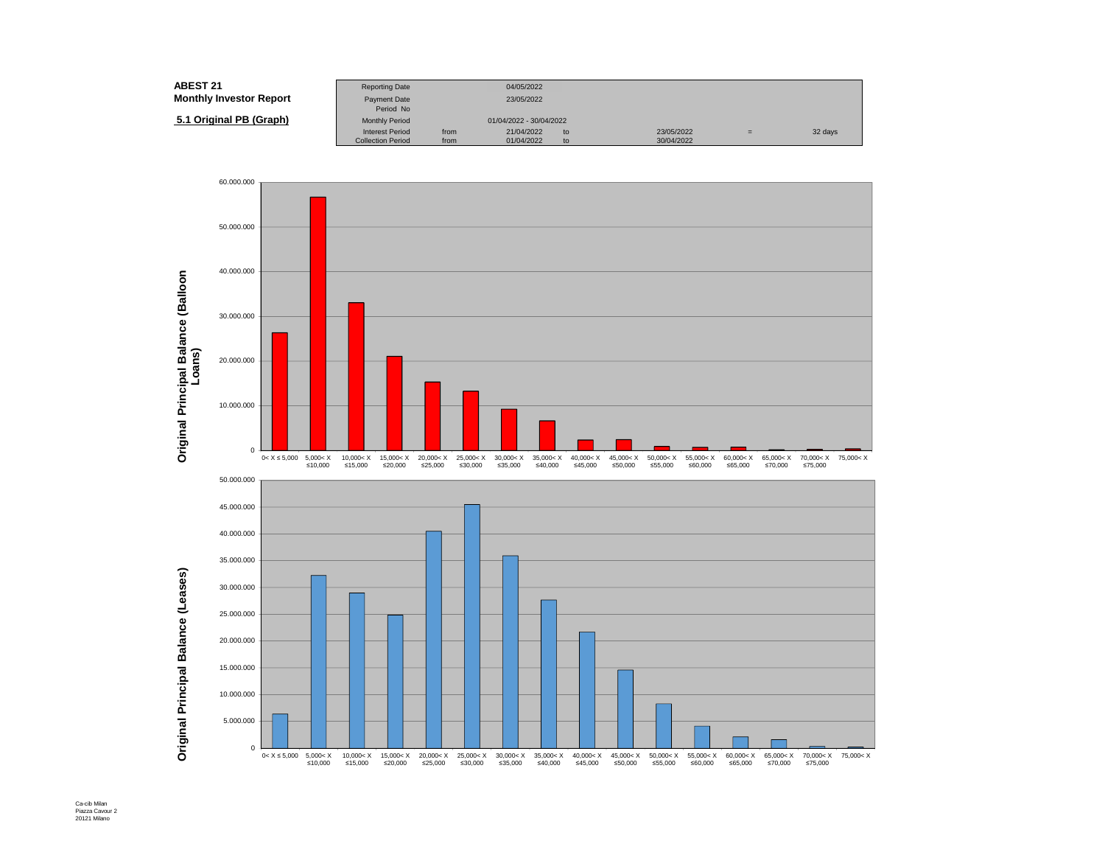| <b>ABEST 21</b>                | <b>Reporting Date</b>     |      | 04/05/2022              |    |            |     |         |
|--------------------------------|---------------------------|------|-------------------------|----|------------|-----|---------|
| <b>Monthly Investor Report</b> | Payment Date<br>Period No |      | 23/05/2022              |    |            |     |         |
| 5.1 Original PB (Graph)        | <b>Monthly Period</b>     |      | 01/04/2022 - 30/04/2022 |    |            |     |         |
|                                | <b>Interest Period</b>    | from | 21/04/2022              | to | 23/05/2022 | $=$ | 32 days |
|                                | <b>Collection Period</b>  | from | 01/04/2022              | to | 30/04/2022 |     |         |

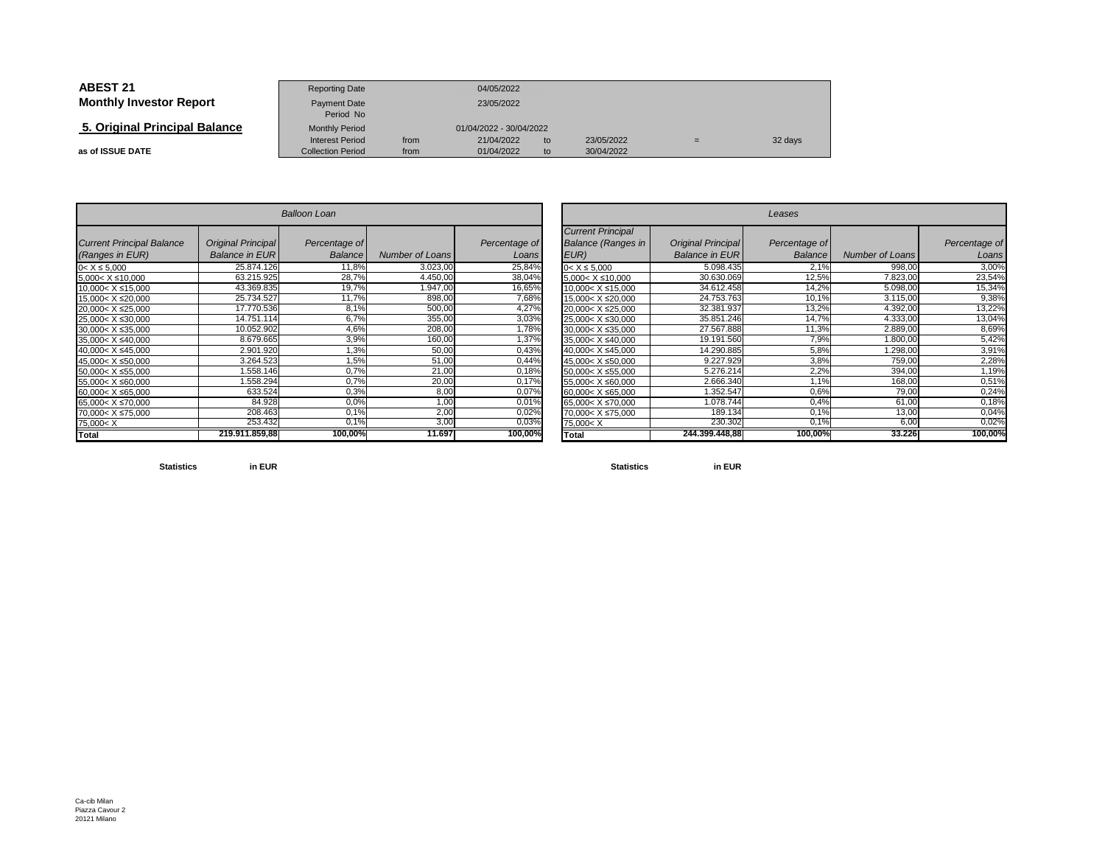| <b>ABEST 21</b>                | <b>Reporting Date</b>                              |              | 04/05/2022               |          |                          |     |         |
|--------------------------------|----------------------------------------------------|--------------|--------------------------|----------|--------------------------|-----|---------|
| <b>Monthly Investor Report</b> | Payment Date<br>Period No                          |              | 23/05/2022               |          |                          |     |         |
| 5. Original Principal Balance  | <b>Monthly Period</b>                              |              | 01/04/2022 - 30/04/2022  |          |                          |     |         |
| as of ISSUE DATE               | <b>Interest Period</b><br><b>Collection Period</b> | from<br>from | 21/04/2022<br>01/04/2022 | to<br>to | 23/05/2022<br>30/04/2022 | $=$ | 32 days |

|                                                                                              |                                             | <b>Balloon Loan</b>             |                        |                        |
|----------------------------------------------------------------------------------------------|---------------------------------------------|---------------------------------|------------------------|------------------------|
| <b>Current Principal Balance</b><br>(Ranges in EUR)                                          | Original Principal<br><b>Balance in EUR</b> | Percentage of<br><b>Balance</b> | <b>Number of Loans</b> | Percentage of<br>Loans |
| $0 < X \le 5,000$                                                                            | 25.874.126                                  | 11,8%                           | 3.023,00               | 25,84%                 |
| 5,000< X ≤10,000                                                                             | 63.215.925                                  | 28,7%                           | 4.450,00               | 38,04%                 |
| 10,000< X ≤15,000                                                                            | 43.369.835                                  | 19,7%                           | 1.947,00               | 16,65%                 |
| 15,000< X ≤20,000                                                                            | 25.734.527                                  | 11,7%                           | 898,00                 | 7,68%                  |
| 20,000< X ≤25,000                                                                            | 17.770.536                                  | 8,1%                            | 500,00                 | 4,27%                  |
| 25,000< X ≤30,000                                                                            | 14.751.114                                  | 6,7%                            | 355,00                 | 3,03%                  |
| 30,000< X ≤35,000                                                                            | 10.052.902                                  | 4,6%                            | 208,00                 | 1,78%                  |
| 35,000< X ≤40,000                                                                            | 8.679.665                                   | 3,9%                            | 160,00                 | 1,37%                  |
| 40,000< X ≤45,000                                                                            | 2.901.920                                   | 1,3%                            | 50,00                  | 0,43%                  |
| 45,000< X ≤50,000                                                                            | 3.264.523                                   | 1,5%                            | 51,00                  | 0,44%                  |
| 50.000< X ≤55.000                                                                            | 1.558.146                                   | 0,7%                            | 21,00                  | 0,18%                  |
| 55,000< X ≤60,000                                                                            | 1.558.294                                   | 0,7%                            | 20,00                  | 0,17%                  |
| 60,000< X ≤65,000                                                                            | 633.524                                     | 0,3%                            | 8,00                   | 0,07%                  |
| 65.000< X ≤70.000                                                                            | 84.928                                      | 0.0%                            | 1,00                   | 0,01%                  |
| 70,000< X ≤75,000                                                                            | 208.463                                     | 0,1%                            | 2,00                   | 0,02%                  |
| 75,000 <x< td=""><td>253.432</td><td><math>0.1\%</math></td><td>3,00</td><td>0,03%</td></x<> | 253.432                                     | $0.1\%$                         | 3,00                   | 0,03%                  |
| <b>Total</b>                                                                                 | 219.911.859,88                              | 100,00%                         | 11.697                 | 100,00%                |

|                                       |                                                    | <b>Balloon Loan</b>      |                        |                        |                                                                                              | Leases                                      |                          |                        |                        |  |  |
|---------------------------------------|----------------------------------------------------|--------------------------|------------------------|------------------------|----------------------------------------------------------------------------------------------|---------------------------------------------|--------------------------|------------------------|------------------------|--|--|
| <b>Principal Balance</b><br>s in EUR) | <b>Original Principal</b><br><b>Balance in EUR</b> | Percentage of<br>Balance | <b>Number of Loans</b> | Percentage of<br>Loans | <b>Current Principal</b><br><b>Balance (Ranges in</b><br>EUR)                                | Original Principal<br><b>Balance in EUR</b> | Percentage of<br>Balance | <b>Number of Loans</b> | Percentage of<br>Loans |  |  |
| 000                                   | 25.874.126                                         | 11,8%                    | 3.023,00               | 25,84%                 | $0 < X \le 5,000$                                                                            | 5.098.435                                   | 2,1%                     | 998,00                 | 3,00%                  |  |  |
| ≤10,000                               | 63.215.925                                         | 28,7%                    | 4.450,00               | 38,04%                 | $5,000 < X \leq 10,000$                                                                      | 30.630.069                                  | 12,5%                    | 7.823,00               | 23,54%                 |  |  |
| X ≤15,000                             | 43.369.835                                         | 19,7%                    | 1.947,00               | 16,65%                 | $10.000 < X \leq 15,000$                                                                     | 34.612.458                                  | 14,2%                    | 5.098,00               | 15,34%                 |  |  |
| X ≤20,000                             | 25.734.527                                         | 11,7%                    | 898,00                 | 7,68%                  | 15.000< X ≤20.000                                                                            | 24.753.763                                  | 10,1%                    | 3.115,00               | 9,38%                  |  |  |
| X ≤25,000                             | 17.770.536                                         | 8,1%                     | 500,00                 | 4,27%                  | 20,000< X ≤25,000                                                                            | 32.381.937                                  | 13,2%                    | 4.392,00               | 13,22%                 |  |  |
| $X \le 30,000$                        | 14.751.114                                         | 6,7%                     | 355,00                 | 3,03%                  | 25,000< X ≤30,000                                                                            | 35.851.246                                  | 14,7%                    | 4.333,00               | 13,04%                 |  |  |
| X ≤35,000                             | 10.052.902                                         | 4,6%                     | 208,00                 | 1,78%                  | 30,000< X ≤35,000                                                                            | 27.567.888                                  | 11,3%                    | 2.889,00               | 8,69%                  |  |  |
| $X \le 40,000$                        | 8.679.665                                          | 3,9%                     | 160,00                 | 1,37%                  | 35,000< X ≤40,000                                                                            | 19.191.560                                  | 7,9%                     | 0.800,00               | 5,42%                  |  |  |
| X ≤45,000                             | 2.901.920                                          | 1,3%                     | 50,00                  | 0,43%                  | 40,000< X ≤45,000                                                                            | 14.290.885                                  | 5,8%                     | .298,00                | 3,91%                  |  |  |
| $X \le 50,000$                        | 3.264.523                                          | 1,5%                     | 51,00                  | 0,44%                  | 45.000< X ≤50,000                                                                            | 9.227.929                                   | 3,8%                     | 759,00                 | 2,28%                  |  |  |
| X ≤55,000                             | 1.558.146                                          | 0.7%                     | 21,00                  | 0,18%                  | $150.000 < X \le 55,000$                                                                     | 5.276.214                                   | 2,2%                     | 394,00                 | 1,19%                  |  |  |
| X ≤60,000                             | 1.558.294                                          | 0,7%                     | 20,00                  | 0,17%                  | 55,000< X ≤60,000                                                                            | 2.666.340                                   | .1%                      | 168,00                 | 0,51%                  |  |  |
| X ≤65,000                             | 633.524                                            | 0.3%                     | 8,00                   | 0,07%                  | 60,000< X ≤65,000                                                                            | 352.547                                     | 0.6%                     | 79,00                  | 0,24%                  |  |  |
| X ≤70,000                             | 84.928                                             | 0,0%                     | 1,00                   | 0,01%                  | 65,000< X ≤70,000                                                                            | 1.078.744                                   | 0.4%                     | 61,00                  | 0,18%                  |  |  |
| X ≤75,000                             | 208.463                                            | 0,1%                     | 2,00                   | 0,02%                  | 70,000< X ≤75,000                                                                            | 189.134                                     | 0,1%                     | 13,00                  | 0,04%                  |  |  |
|                                       | 253.432                                            | 0,1%                     | 3,00                   | 0,03%                  | 75,000 <x< td=""><td>230.302</td><td><math>0.1\%</math></td><td>6,00</td><td>0,02%</td></x<> | 230.302                                     | $0.1\%$                  | 6,00                   | 0,02%                  |  |  |
|                                       | 219.911.859,88                                     | 100,00%                  | 11.697                 | 100,00%                | <b>Total</b>                                                                                 | 244.399.448.88                              | 100,00%                  | 33.226                 | 100,00%                |  |  |

**Statistics**

**in EUR**

**Statistics in EUR**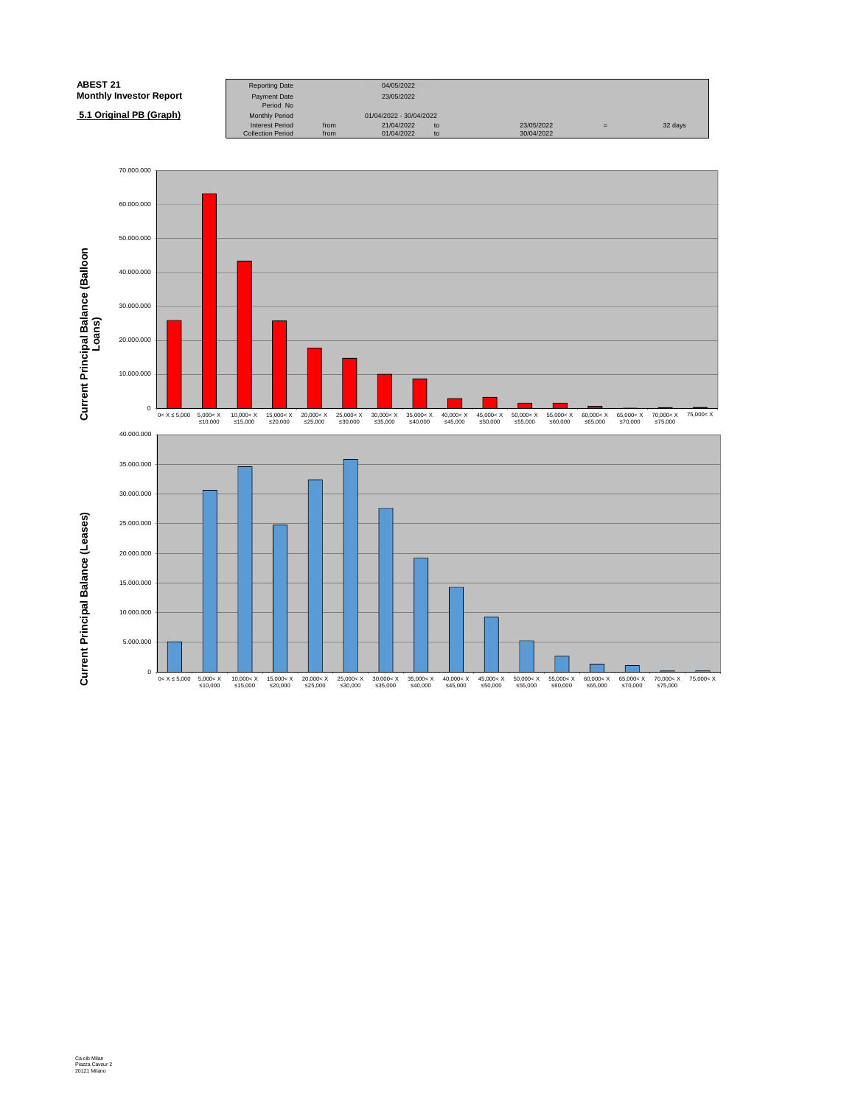| <b>ABEST 21</b>                | <b>Reporting Date</b>            |      | 04/05/2022              |    |            |   |         |
|--------------------------------|----------------------------------|------|-------------------------|----|------------|---|---------|
| <b>Monthly Investor Report</b> | <b>Payment Date</b><br>Period No |      | 23/05/2022              |    |            |   |         |
| 5.1 Original PB (Graph)        | <b>Monthly Period</b>            |      | 01/04/2022 - 30/04/2022 |    |            |   |         |
|                                | <b>Interest Period</b>           | from | 21/04/2022              | to | 23/05/2022 | = | 32 days |
|                                | <b>Collection Period</b>         | from | 01/04/2022              | to | 30/04/2022 |   |         |

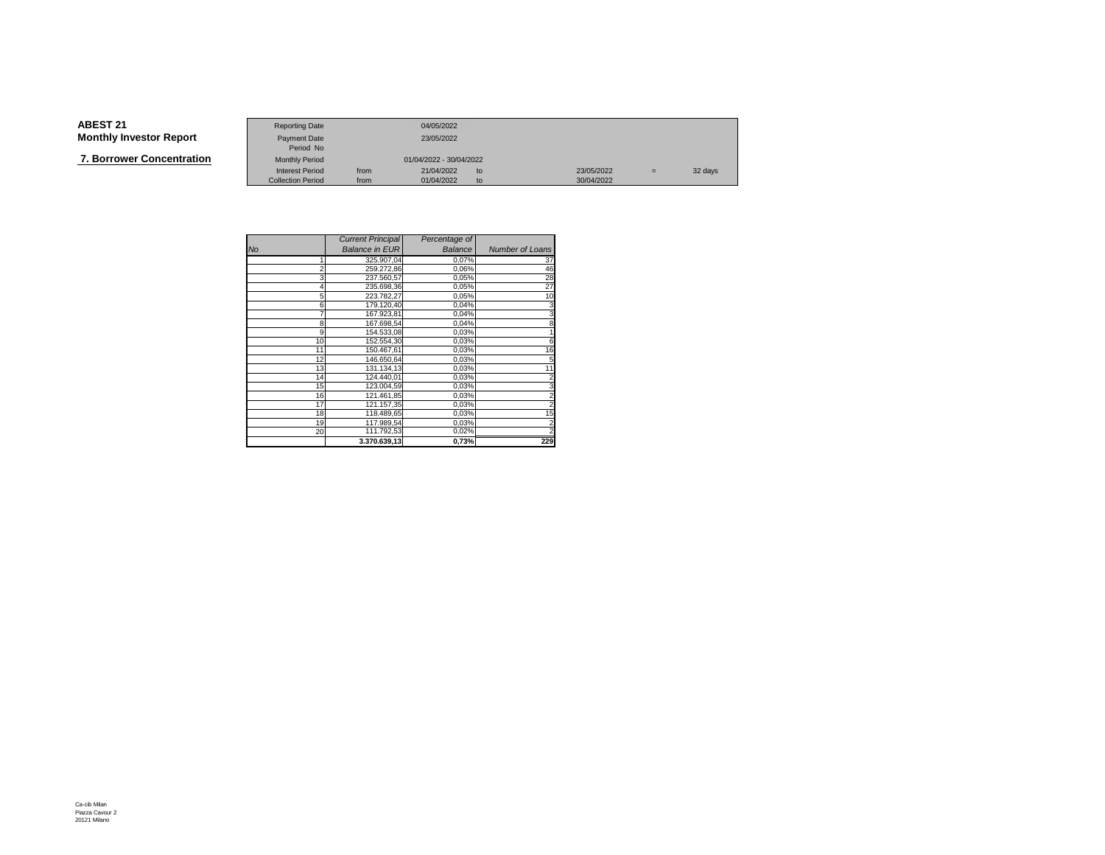**7. Borrower Concentration**

|                   | <b>Reporting Date</b>    |      | 04/05/2022              |    |            |     |         |
|-------------------|--------------------------|------|-------------------------|----|------------|-----|---------|
|                   |                          |      |                         |    |            |     |         |
| Investor Report   | Payment Date             |      | 23/05/2022              |    |            |     |         |
|                   | Period No                |      |                         |    |            |     |         |
| wer Concentration | <b>Monthly Period</b>    |      | 01/04/2022 - 30/04/2022 |    |            |     |         |
|                   | <b>Interest Period</b>   | from | 21/04/2022              | to | 23/05/2022 | $=$ | 32 days |
|                   | <b>Collection Period</b> | from | 01/04/2022              | to | 30/04/2022 |     |         |

|                | <b>Current Principal</b> | Percentage of |                        |
|----------------|--------------------------|---------------|------------------------|
| No             | <b>Balance in EUR</b>    | Balance       | <b>Number of Loans</b> |
| 1              | 325.907,04               | 0,07%         | 37                     |
| $\overline{2}$ | 259.272,86               | 0,06%         | 46                     |
| 3              | 237.560,57               | 0,05%         | 28                     |
|                | 235.698,36               | 0,05%         | 27                     |
| 5              | 223.782.27               | 0,05%         | 10                     |
| 6              | 179.120,40               | 0,04%         | 3                      |
|                | 167.923,81               | 0,04%         | 3                      |
| 8              | 167.698,54               | 0,04%         | 8                      |
| 9              | 154.533.08               | 0,03%         |                        |
| 10             | 152.554,30               | 0,03%         | 6                      |
| 11             | 150.467,61               | 0,03%         | 16                     |
| 12             | 146.650.64               | 0,03%         | 5                      |
| 13             | 131.134,13               | 0,03%         | 11                     |
| 14             | 124.440.01               | 0,03%         | $\overline{2}$         |
| 15             | 123.004,59               | 0,03%         | 3                      |
| 16             | 121.461,85               | 0,03%         |                        |
| 17             | 121.157,35               | 0,03%         | $\overline{2}$         |
| 18             | 118.489,65               | 0,03%         | 15                     |
| 19             | 117.989,54               | 0,03%         |                        |
| 20             | 111.792,53               | 0,02%         |                        |
|                | 3.370.639,13             | 0,73%         | 229                    |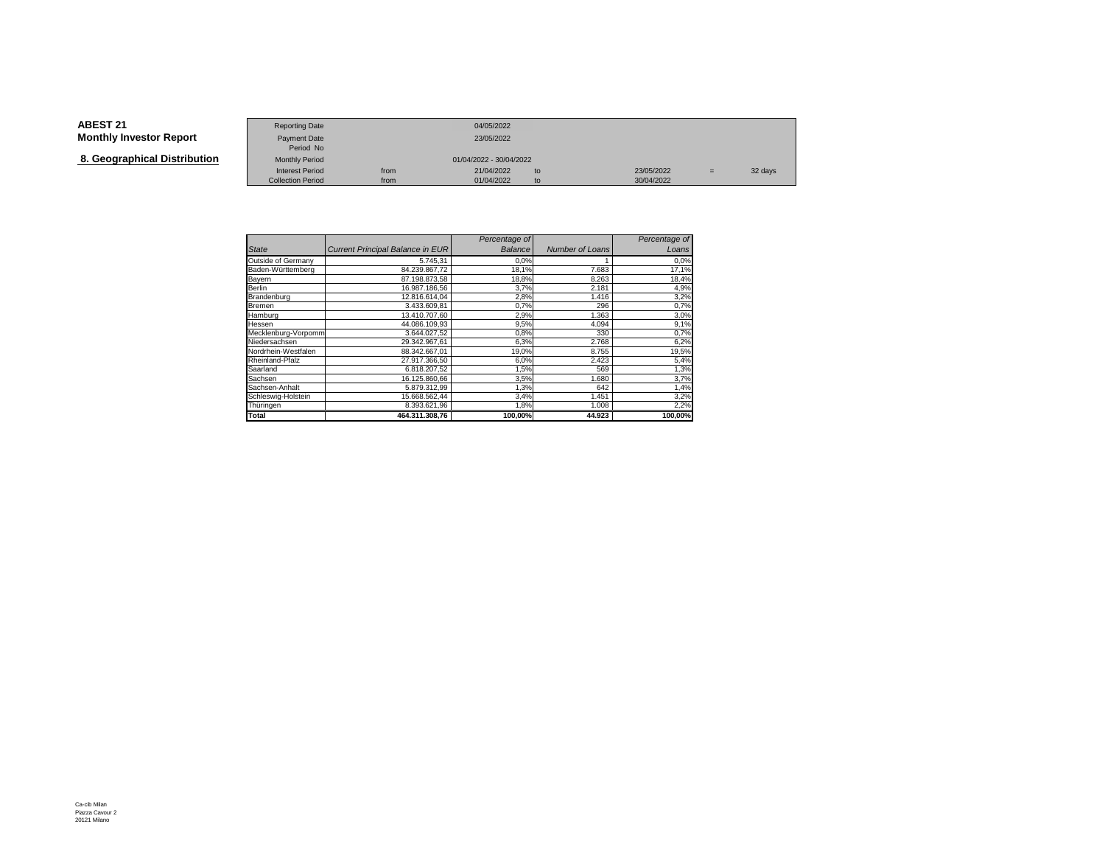**8. Geographical Distribution**

|                                   | <b>Reporting Date</b>     |      | 04/05/2022              |    |            |     |         |
|-----------------------------------|---------------------------|------|-------------------------|----|------------|-----|---------|
| Investor Report                   | Payment Date<br>Period No |      | 23/05/2022              |    |            |     |         |
| aphical Distribution <sup>.</sup> | <b>Monthly Period</b>     |      | 01/04/2022 - 30/04/2022 |    |            |     |         |
|                                   | <b>Interest Period</b>    | from | 21/04/2022              | to | 23/05/2022 | $=$ | 32 days |
|                                   | <b>Collection Period</b>  | from | 01/04/2022              | to | 30/04/2022 |     |         |

|                     |                                         | Percentage of  |                 | Percentage of |
|---------------------|-----------------------------------------|----------------|-----------------|---------------|
| <b>State</b>        | <b>Current Principal Balance in EUR</b> | <b>Balance</b> | Number of Loans | Loans         |
| Outside of Germany  | 5.745.31                                | 0,0%           |                 | 0,0%          |
| Baden-Württemberg   | 84.239.867,72                           | 18,1%          | 7.683           | 17,1%         |
| Bayern              | 87.198.873.58                           | 18,8%          | 8.263           | 18,4%         |
| Berlin              | 16.987.186.56                           | 3,7%           | 2.181           | 4,9%          |
| Brandenburg         | 12.816.614.04                           | 2,8%           | 1.416           | 3,2%          |
| Bremen              | 3.433.609.81                            | 0,7%           | 296             | 0,7%          |
| Hamburg             | 13.410.707.60                           | 2,9%           | 1.363           | 3,0%          |
| Hessen              | 44.086.109.93                           | 9,5%           | 4.094           | 9,1%          |
| Mecklenburg-Vorpomm | 3.644.027.52                            | 0,8%           | 330             | 0,7%          |
| Niedersachsen       | 29.342.967.61                           | 6,3%           | 2.768           | 6,2%          |
| Nordrhein-Westfalen | 88.342.667.01                           | 19,0%          | 8.755           | 19,5%         |
| Rheinland-Pfalz     | 27.917.366,50                           | 6,0%           | 2.423           | 5,4%          |
| Saarland            | 6.818.207.52                            | 1,5%           | 569             | 1,3%          |
| Sachsen             | 16.125.860,66                           | 3,5%           | 1.680           | 3,7%          |
| Sachsen-Anhalt      | 5.879.312,99                            | 1,3%           | 642             | 1,4%          |
| Schleswig-Holstein  | 15.668.562,44                           | 3,4%           | 1.451           | 3,2%          |
| Thüringen           | 8.393.621,96                            | 1,8%           | 1.008           | 2,2%          |
| Total               | 464.311.308.76                          | 100,00%        | 44.923          | 100,00%       |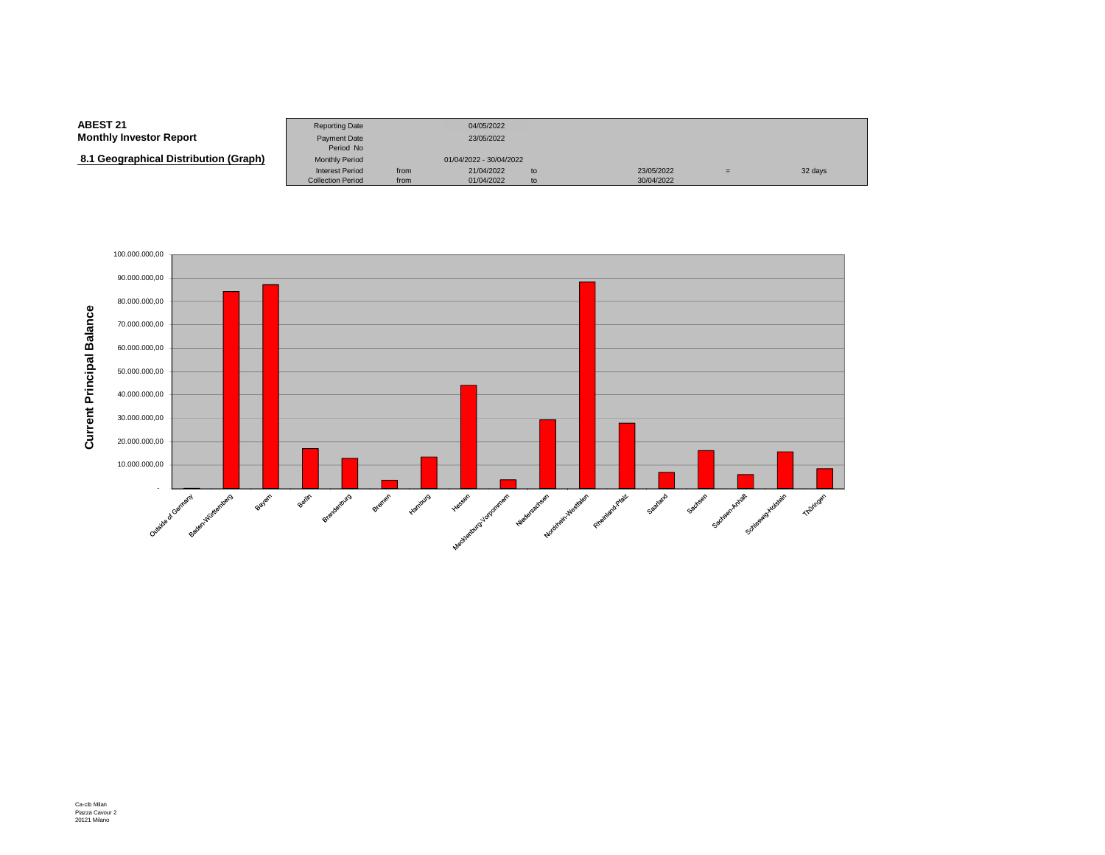#### **ABEST 21**Reporting Date 04/05/2022<br>Payment Date 23/05/2022 **Monthly Investor Report**Payment Date Period NoMonthly Period  **8.1 Geographical Distribution (Graph)**Monthly Period 01/04/2022 - 30/04/2022<br>Interest Period from 21/04/2022 Interest Period from 21/04/2022 to 23/05/2022 <sup>=</sup> 32 daysCollection Period from 01/04/2022 to 30/04/2022

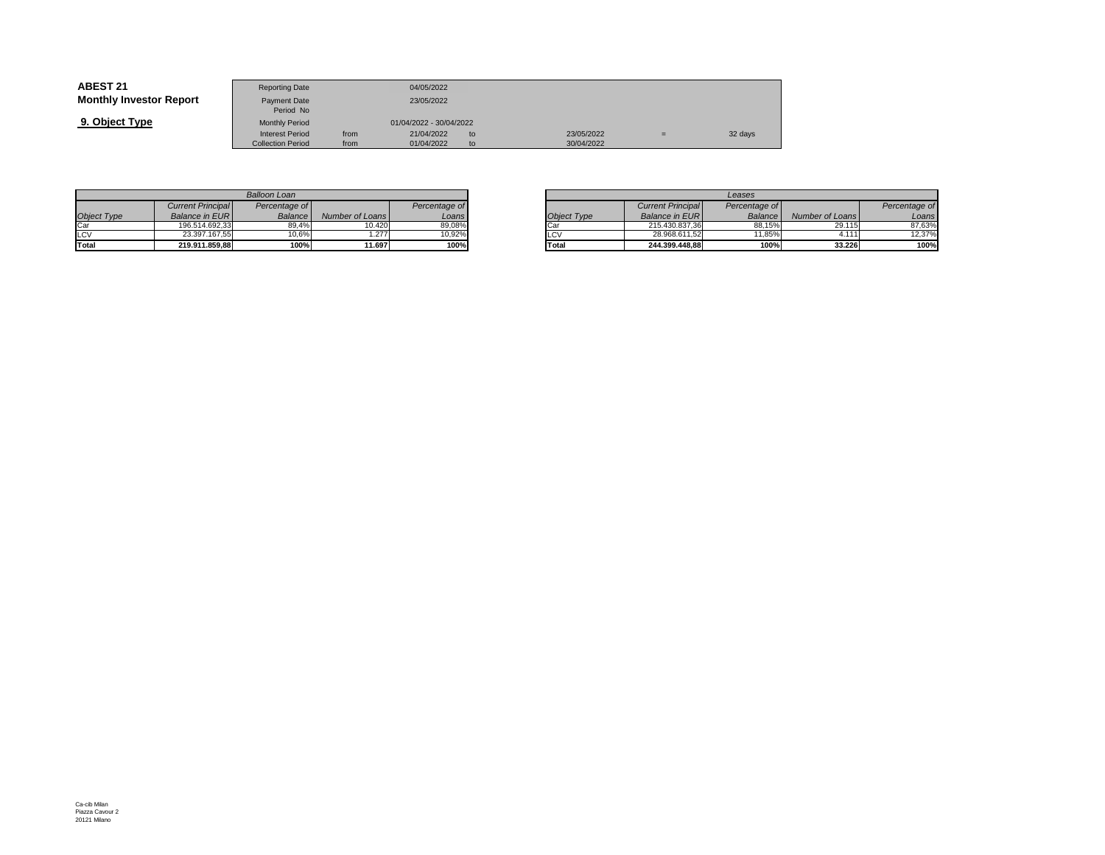| <b>ABEST 21</b>                | <b>Reporting Date</b>            |      | 04/05/2022              |     |            |     |         |
|--------------------------------|----------------------------------|------|-------------------------|-----|------------|-----|---------|
| <b>Monthly Investor Report</b> | <b>Payment Date</b><br>Period No |      | 23/05/2022              |     |            |     |         |
| 9. Object Type                 | <b>Monthly Period</b>            |      | 01/04/2022 - 30/04/2022 |     |            |     |         |
|                                | <b>Interest Period</b>           | from | 21/04/2022              | to. | 23/05/2022 | $=$ | 32 days |
|                                | <b>Collection Period</b>         | from | 01/04/2022              | to. | 30/04/2022 |     |         |

|                    |                          | Balloon Loan  |                 |               |
|--------------------|--------------------------|---------------|-----------------|---------------|
|                    | <b>Current Principal</b> | Percentage of |                 | Percentage of |
| <b>Object Type</b> | Balance in EUR           | Balance       | Number of Loans | Loans         |
| Car                | 196.514.692.33           | 89.4%         | 10.420          | 89.08%        |
| LCV                | 23.397.167.55            | 10.6%         | .277            | 10.92%        |
| Total              | 219.911.859.88           | 100%          | 11.697          | 100%          |

|       |                 |               |             |                          | Leases         |                 |
|-------|-----------------|---------------|-------------|--------------------------|----------------|-----------------|
| ae of |                 | Percentage of |             | <b>Current Principal</b> | Percentage of  |                 |
| ance  | Number of Loans | Loans         | Object Type | <b>Balance in EURI</b>   | <b>Balance</b> | Number of Loans |
| 39,4% | 10.420          | 89,08%        | Car         | 215.430.837.36           | 88.15%         | 29.115          |
| 0.6%  | .277            | 10.92%        | LCV         | 28.968.611.52            | 11.85%         | 4.11'           |
| 100%  | 11.697          | 100%          | Total       | 244.399.448.88           | 100%           | 33.226          |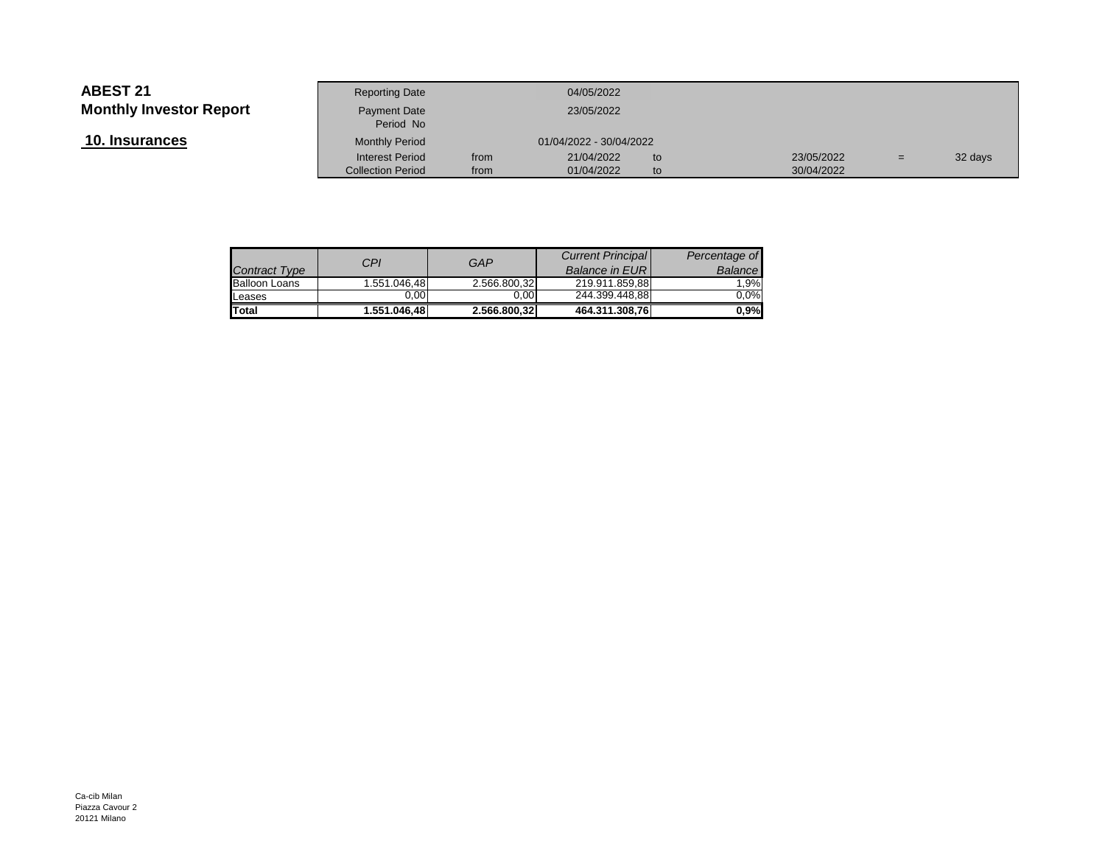**10. Insurances**

|                 | <b>Reporting Date</b>     |      | 04/05/2022              |     |            |     |         |
|-----------------|---------------------------|------|-------------------------|-----|------------|-----|---------|
| Investor Report | Payment Date<br>Period No |      | 23/05/2022              |     |            |     |         |
| <u>ances</u>    | <b>Monthly Period</b>     |      | 01/04/2022 - 30/04/2022 |     |            |     |         |
|                 | <b>Interest Period</b>    | from | 21/04/2022              | to  | 23/05/2022 | $=$ | 32 days |
|                 | <b>Collection Period</b>  | from | 01/04/2022              | to. | 30/04/2022 |     |         |
|                 |                           |      |                         |     |            |     |         |

| <b>Contract Type</b> | CPI          | GAP          | <b>Current Principal</b><br><b>Balance in EURI</b> | Percentage of<br>Balance |
|----------------------|--------------|--------------|----------------------------------------------------|--------------------------|
| <b>Balloon Loans</b> | 1.551.046,48 | 2.566.800,32 | 219.911.859.88                                     | 1.9%                     |
| Leases               | 0.00         | 0.00         | 244.399.448.88                                     | $0.0\%$                  |
| <b>Total</b>         | 1.551.046.48 | 2.566.800,32 | 464.311.308,76                                     | $0.9\%$                  |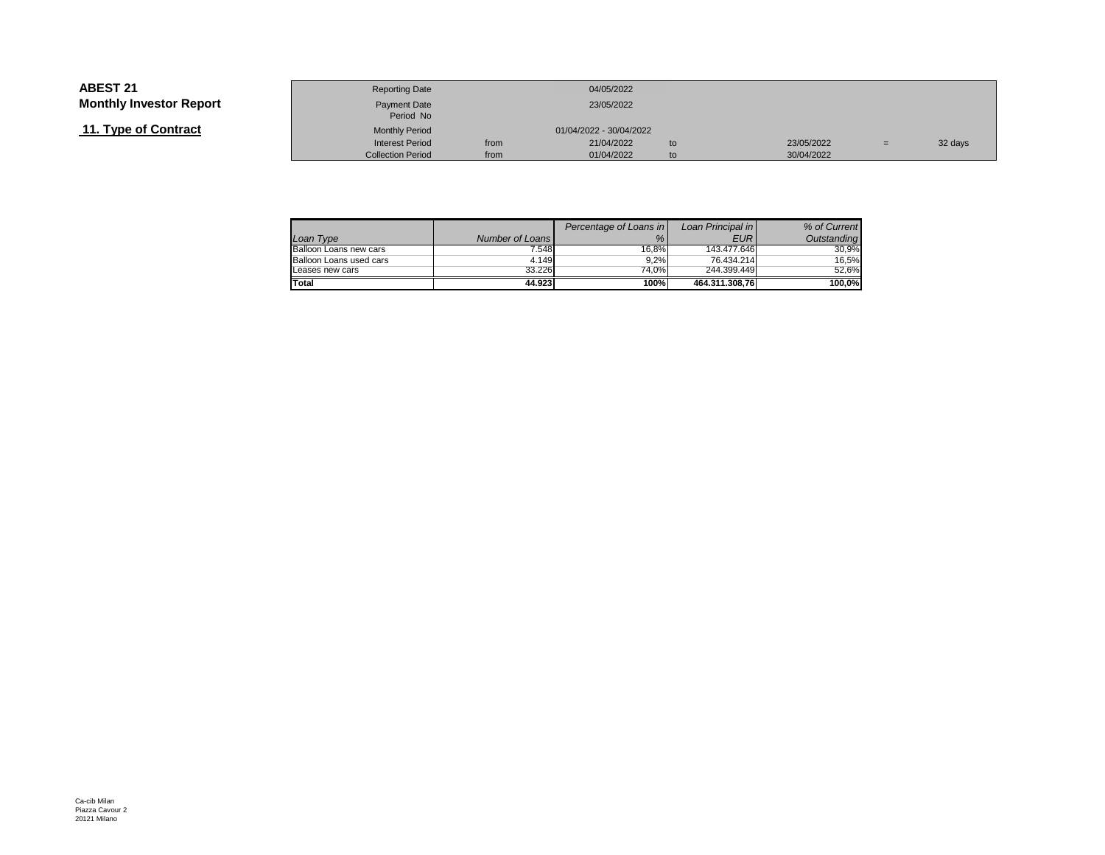## **11. Type of Contract**

|                 | <b>Reporting Date</b>     |      | 04/05/2022              |    |            |     |         |
|-----------------|---------------------------|------|-------------------------|----|------------|-----|---------|
| Investor Report | Payment Date<br>Period No |      | 23/05/2022              |    |            |     |         |
| of Contract     | <b>Monthly Period</b>     |      | 01/04/2022 - 30/04/2022 |    |            |     |         |
|                 | <b>Interest Period</b>    | from | 21/04/2022              | to | 23/05/2022 | $=$ | 32 days |
|                 | <b>Collection Period</b>  | from | 01/04/2022              | to | 30/04/2022 |     |         |

|                         |                 | Percentage of Loans in | Loan Principal in | % of Current |
|-------------------------|-----------------|------------------------|-------------------|--------------|
| Loan Type               | Number of Loans | %                      | <b>EUR</b>        | Outstanding  |
| Balloon Loans new cars  | 7.548           | 16.8%                  | 143.477.646       | 30.9%        |
| Balloon Loans used cars | 4.149           | 9.2%                   | 76.434.214        | 16.5%        |
| Leases new cars         | 33.226          | 74.0%                  | 244.399.449       | 52.6%        |
| Total                   | 44.923          | 100%                   | 464.311.308.76    | 100.0%       |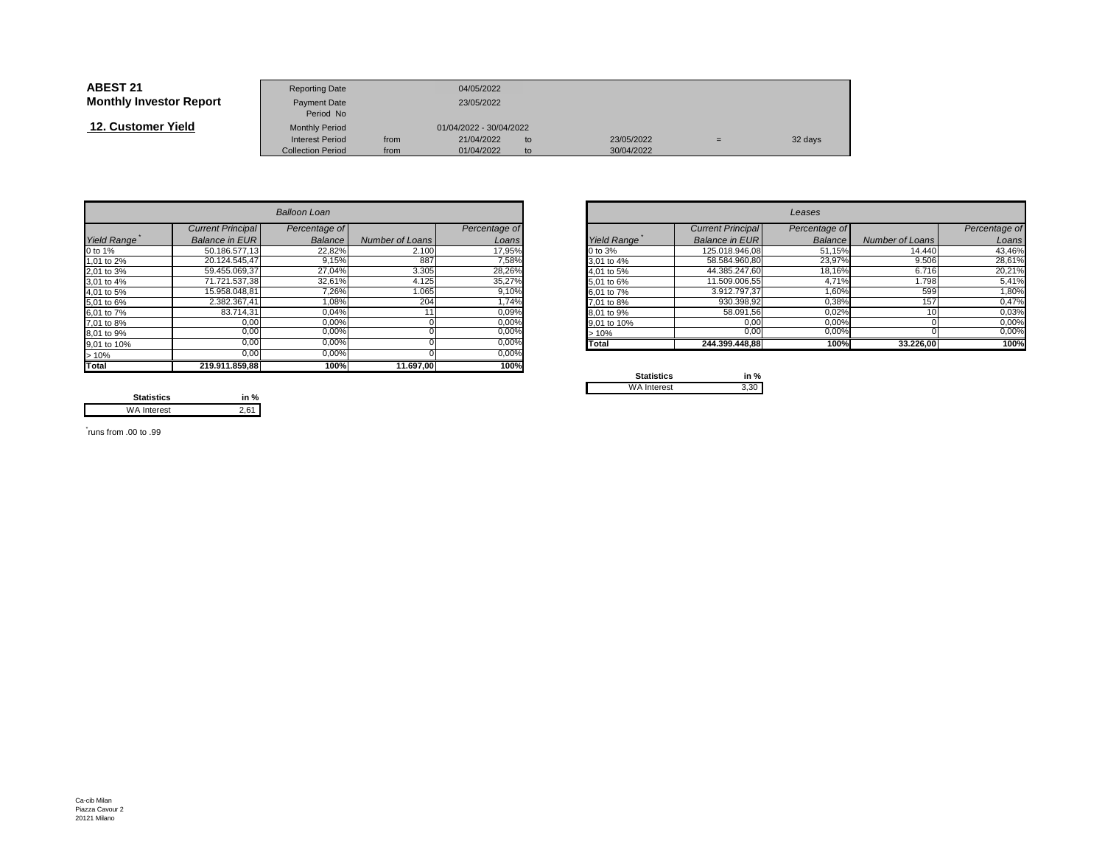| <b>ABEST 21</b>                | <b>Reporting Date</b>     |      | 04/05/2022              |    |            |     |         |
|--------------------------------|---------------------------|------|-------------------------|----|------------|-----|---------|
| <b>Monthly Investor Report</b> | Payment Date<br>Period No |      | 23/05/2022              |    |            |     |         |
| 12. Customer Yield             | <b>Monthly Period</b>     |      | 01/04/2022 - 30/04/2022 |    |            |     |         |
|                                | <b>Interest Period</b>    | from | 21/04/2022              | to | 23/05/2022 | $=$ | 32 days |
|                                | <b>Collection Period</b>  | from | 01/04/2022              | to | 30/04/2022 |     |         |

|                    |                          | <b>Balloon Loan</b> |                 |               |             |                          | Leases        |                 |               |
|--------------------|--------------------------|---------------------|-----------------|---------------|-------------|--------------------------|---------------|-----------------|---------------|
|                    | <b>Current Principal</b> | Percentage of       |                 | Percentage of |             | <b>Current Principal</b> | Percentage of |                 | Percentage of |
| <b>Yield Range</b> | <b>Balance in EURI</b>   | Balance             | Number of Loans | Loans         | Yield Range | <b>Balance in EURI</b>   | Balance       | Number of Loans | Loans         |
| 0 to 1%            | 50.186.577,13            | 22,82%              | 2.100           | 17,95%        | 0 to 3%     | 125.018.946,08           | 51,15%        | 14.440          | 43,46%        |
| 1,01 to 2%         | 20.124.545.47            | 9,15%               | 887             | 7,58%         | 3,01 to 4%  | 58.584.960.80            | 23,97%        | 9.506           | 28,61%        |
| 2,01 to 3%         | 59.455.069,37            | 27,04%              | 3.305           | 28,26%        | 4.01 to 5%  | 44.385.247.60            | 18,16%        | 6.716           | 20,21%        |
| 3,01 to 4%         | 71.721.537,38            | 32,61%              | 4.125           | 35,27%        | 5,01 to 6%  | 11.509.006,55            | 4,71%         | 1.798           | 5,41%         |
| 4,01 to 5%         | 15.958.048,81            | 7,26%               | 1.065           | 9,10%         | 6,01 to 7%  | 3.912.797,37             | 1,60%         | 599             | 1,80%         |
| 5,01 to 6%         | 2.382.367,41             | 1,08%               | 204             | 1,74%         | 7,01 to 8%  | 930.398,92               | 0,38%         | 157             | 0,47%         |
| 6,01 to 7%         | 83.714,31                | 0,04%               |                 | 0,09%         | 8,01 to 9%  | 58.091,56                | 0,02%         |                 | 0,03%         |
| 7,01 to 8%         | 0,00                     | 0,00%               |                 | 0,00%         | 9,01 to 10% | 0,00                     | 0,00%         |                 | 0,00%         |
| 8,01 to 9%         | 0,00                     | 0,00%               |                 | $0,00\%$      | >10%        | 0,00                     | 0,00%         |                 | 0,00%         |
| 9,01 to 10%        | 0.00                     | 0.00%               |                 | 0,00%         | Total       | 244.399.448.88           | 100%          | 33.226,00       | 100%          |
| >10%               | 0,00                     | 0,00%               |                 | 0,00%         |             |                          |               |                 |               |
| <b>Total</b>       | 219.911.859,88           | 100%                | 11.697,00       | 100%          | Capalonico  | $1 - 0$                  |               |                 |               |

| <b>Balloon Loan</b> |                          |               |                 |               |             |                          | Leases        |                 |               |
|---------------------|--------------------------|---------------|-----------------|---------------|-------------|--------------------------|---------------|-----------------|---------------|
|                     | <b>Current Principal</b> | Percentage of |                 | Percentage of |             | <b>Current Principal</b> | Percentage of |                 | Percentage of |
| Range               | Balance in EUR           | Balance       | Number of Loans | Loans         | Yield Range | Balance in EUR           | Balance       | Number of Loans |               |
|                     | 50.186.577,13            | 22,82%        | 2.100           | 17,95%        | 0 to 3%     | 125.018.946,08           | 51,15%        | 14.440          |               |
| o 2%                | 20.124.545,47            | 9,15%         | 887             | 7,58%         | 3,01 to 4%  | 58.584.960,80            | 23,97%        | 9.506           |               |
| o 3%                | 59.455.069,37            | 27,04%        | 3.305           | 28,26%        | 4,01 to 5%  | 44.385.247,60            | 18,16%        | 6.716           |               |
| o 4%                | 71.721.537,38            | 32,61%        | 4.125           | 35,27%        | 5,01 to 6%  | 11.509.006,55            | 4.71%         | 1.798           |               |
| o 5%                | 15.958.048,81            | 7,26%         | 1.065           | 9,10%         | 6,01 to 7%  | 3.912.797,37             | 1,60%         | 599             |               |
| о 6%                | 2.382.367,41             | $1,08\%$      | 204             | 1,74%         | 7,01 to 8%  | 930.398,92               | 0,38%         | 157             |               |
| o 7%                | 83.714,31                | 0,04%         |                 | 0,09%         | 8,01 to 9%  | 58.091,56                | 0,02%         |                 |               |
| o 8%                | 0,00                     | 0,00%         |                 | 0,00%         | 9,01 to 10% | 0,00                     | 0,00%         |                 |               |
| о 9%                | 0,00                     | 0,00%         |                 | $0,00\%$      | $>10\%$     | 0,00                     | 0,00%         |                 |               |
| o 10%               | 0,00                     | 0,00%         |                 | 0,00%         | Total       | 244.399.448,88           | 100%          | 33.226,00       |               |
|                     |                          |               |                 |               |             |                          |               |                 |               |

| <b>Statistics</b>  | in % |
|--------------------|------|
| <b>WA Interest</b> |      |

**Statistics in %** $2,61$ WA Interest

\* runs from .00 to .99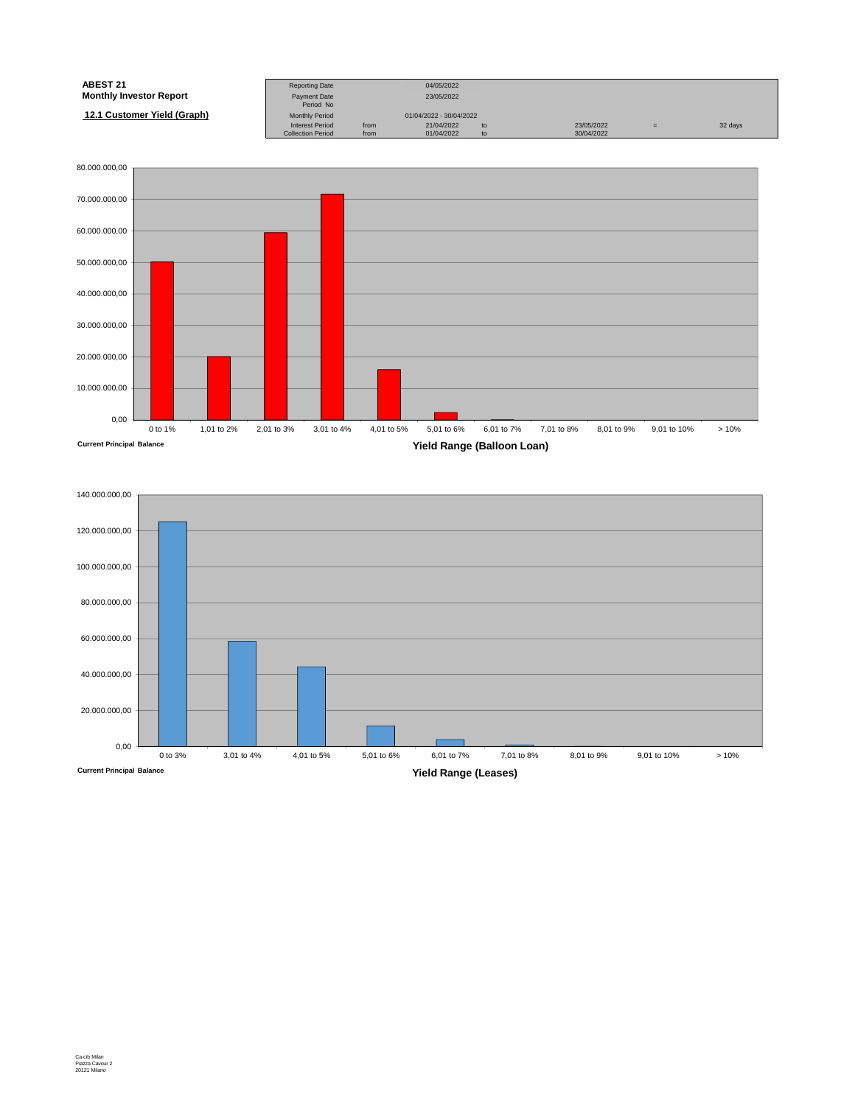| <b>ABEST 21</b>                | <b>Reporting Date</b>     |      | 04/05/2022              |    |            |     |         |
|--------------------------------|---------------------------|------|-------------------------|----|------------|-----|---------|
| <b>Monthly Investor Report</b> | Payment Date<br>Period No |      | 23/05/2022              |    |            |     |         |
| 12.1 Customer Yield (Graph)    | <b>Monthly Period</b>     |      | 01/04/2022 - 30/04/2022 |    |            |     |         |
|                                | <b>Interest Period</b>    | from | 21/04/2022              | to | 23/05/2022 | $=$ | 32 days |
|                                | <b>Collection Period</b>  | from | 01/04/2022              | to | 30/04/2022 |     |         |



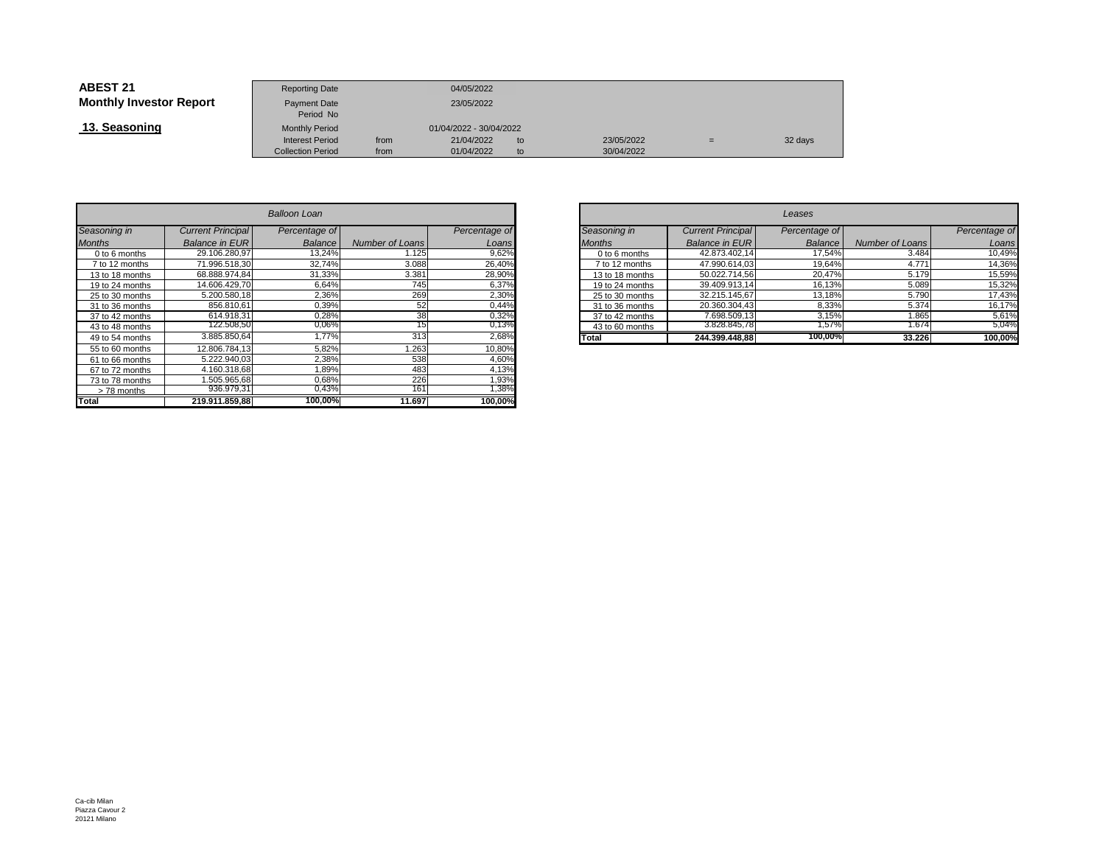| <b>ABEST 21</b>                | <b>Reporting Date</b>            |      | 04/05/2022              |    |            |     |         |
|--------------------------------|----------------------------------|------|-------------------------|----|------------|-----|---------|
| <b>Monthly Investor Report</b> | <b>Payment Date</b><br>Period No |      | 23/05/2022              |    |            |     |         |
| 13. Seasoning                  | <b>Monthly Period</b>            |      | 01/04/2022 - 30/04/2022 |    |            |     |         |
|                                | <b>Interest Period</b>           | from | 21/04/2022              | to | 23/05/2022 | $=$ | 32 days |
|                                | <b>Collection Period</b>         | from | 01/04/2022              | to | 30/04/2022 |     |         |

|                 | Balloon Loan             |                |                 |               |  |  |  |  |  |  |  |
|-----------------|--------------------------|----------------|-----------------|---------------|--|--|--|--|--|--|--|
| Seasoning in    | <b>Current Principal</b> | Percentage of  |                 | Percentage of |  |  |  |  |  |  |  |
| <b>Months</b>   | <b>Balance in EUR</b>    | <b>Balance</b> | Number of Loans | Loans         |  |  |  |  |  |  |  |
| 0 to 6 months   | 29.106.280.97            | 13,24%         | 1.125           | 9,62%         |  |  |  |  |  |  |  |
| 7 to 12 months  | 71.996.518.30            | 32,74%         | 3.088           | 26,40%        |  |  |  |  |  |  |  |
| 13 to 18 months | 68.888.974.84            | 31.33%         | 3.381           | 28,90%        |  |  |  |  |  |  |  |
| 19 to 24 months | 14.606.429.70            | 6.64%          | 745             | 6,37%         |  |  |  |  |  |  |  |
| 25 to 30 months | 5.200.580.18             | 2,36%          | 269             | 2,30%         |  |  |  |  |  |  |  |
| 31 to 36 months | 856.810.61               | 0,39%          | 52              | 0,44%         |  |  |  |  |  |  |  |
| 37 to 42 months | 614.918.31               | 0,28%          | 38              | 0,32%         |  |  |  |  |  |  |  |
| 43 to 48 months | 122.508,50               | 0,06%          | 15              | 0,13%         |  |  |  |  |  |  |  |
| 49 to 54 months | 3.885.850,64             | 1,77%          | 313             | 2,68%         |  |  |  |  |  |  |  |
| 55 to 60 months | 12.806.784.13            | 5,82%          | 1.263           | 10,80%        |  |  |  |  |  |  |  |
| 61 to 66 months | 5.222.940.03             | 2,38%          | 538             | 4,60%         |  |  |  |  |  |  |  |
| 67 to 72 months | 4.160.318.68             | 1.89%          | 483             | 4,13%         |  |  |  |  |  |  |  |
| 73 to 78 months | 1.505.965.68             | 0.68%          | 226             | 1,93%         |  |  |  |  |  |  |  |
| >78 months      | 936.979.31               | 0,43%          | 161             | 1,38%         |  |  |  |  |  |  |  |
| Total           | 219.911.859.88           | 100,00%        | 11.697          | 100,00%       |  |  |  |  |  |  |  |

| n        |                             |                 |                 |                          | Leases        |                 |               |
|----------|-----------------------------|-----------------|-----------------|--------------------------|---------------|-----------------|---------------|
| ge of    |                             | Percentage of   | Seasoning in    | <b>Current Principal</b> | Percentage of |                 | Percentage of |
| ance     | Number of Loans             | Loans           | <b>Months</b>   | <b>Balance in EUR</b>    | Balance       | Number of Loans | Loans         |
| 3,24%    | .125                        | 9,62%           | 0 to 6 months   | 42.873.402,14            | 17.54%        | 3.484           | 10,49%        |
| 2,74%    | 3.088                       | 26,40%          | 7 to 12 months  | 47.990.614,03            | 19,64%        | 4.771           | 14,36%        |
| ,33%     | 3.381                       | 28,90%          | 13 to 18 months | 50.022.714.56            | 20,47%        | 5.179           | 15,59%        |
| $5,64\%$ | 745                         | 6,37%           | 19 to 24 months | 39.409.913,14            | 16,13%        | 5.089           | 15,32%        |
| 2,36%    | 269                         | 2,30%           | 25 to 30 months | 32.215.145.67            | 13,18%        | 5.790           | 17,43%        |
| ),39%    | 52                          | 0,44%           | 31 to 36 months | 20.360.304,43            | 8,33%         | 5.374           | 16,17%        |
| 0,28%    | 38                          | 0,32%           | 37 to 42 months | 7.698.509,13             | 3.15%         | 1.865           | 5,61%         |
| 06%)     | 15                          | 0,13%           | 43 to 60 months | 3.828.845,78             | .57%          | 1.674           | 5,04%         |
| ,77%     | 313                         | 2,68%           | Total           | 244.399.448.88           | 100,00%       | 33.226          | 100,00%       |
| $-0.001$ | $\sim$ $\sim$ $\sim$ $\sim$ | $1 - 2 - 2 - 1$ |                 |                          |               |                 |               |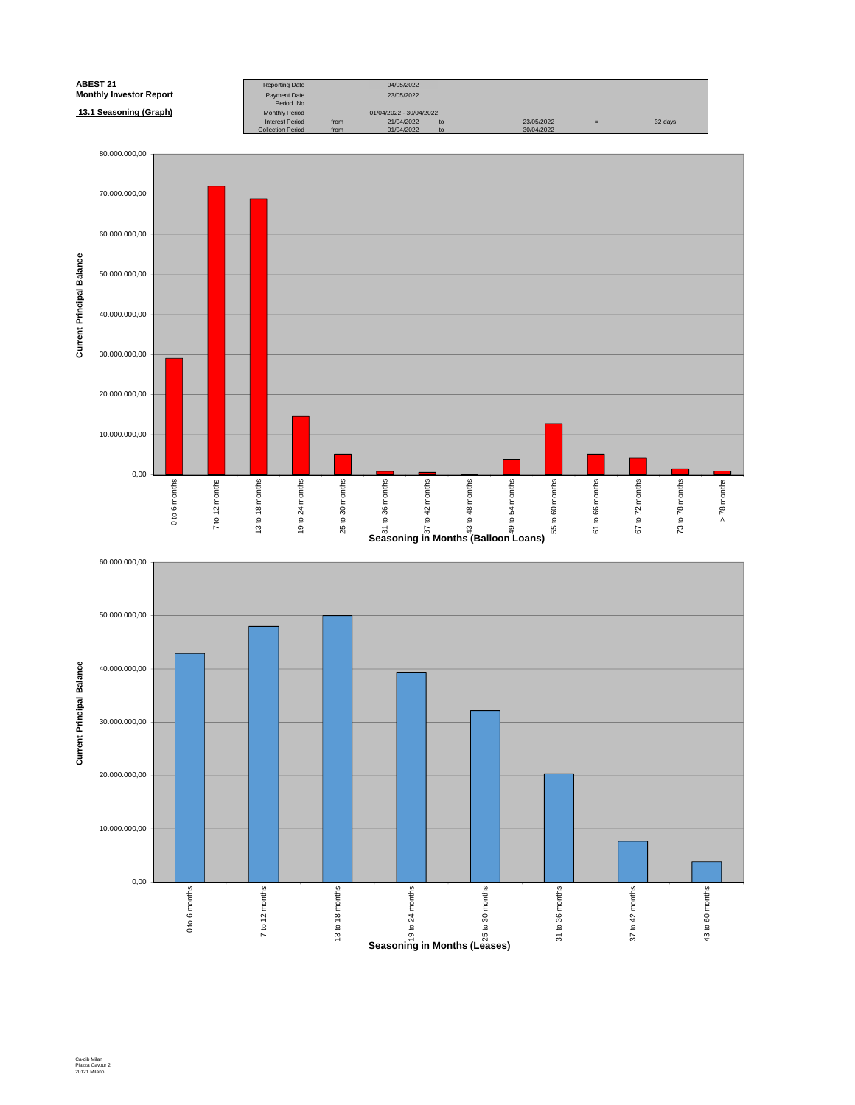

Ca-cib Milan Piazza Cavour 2 20121 Milano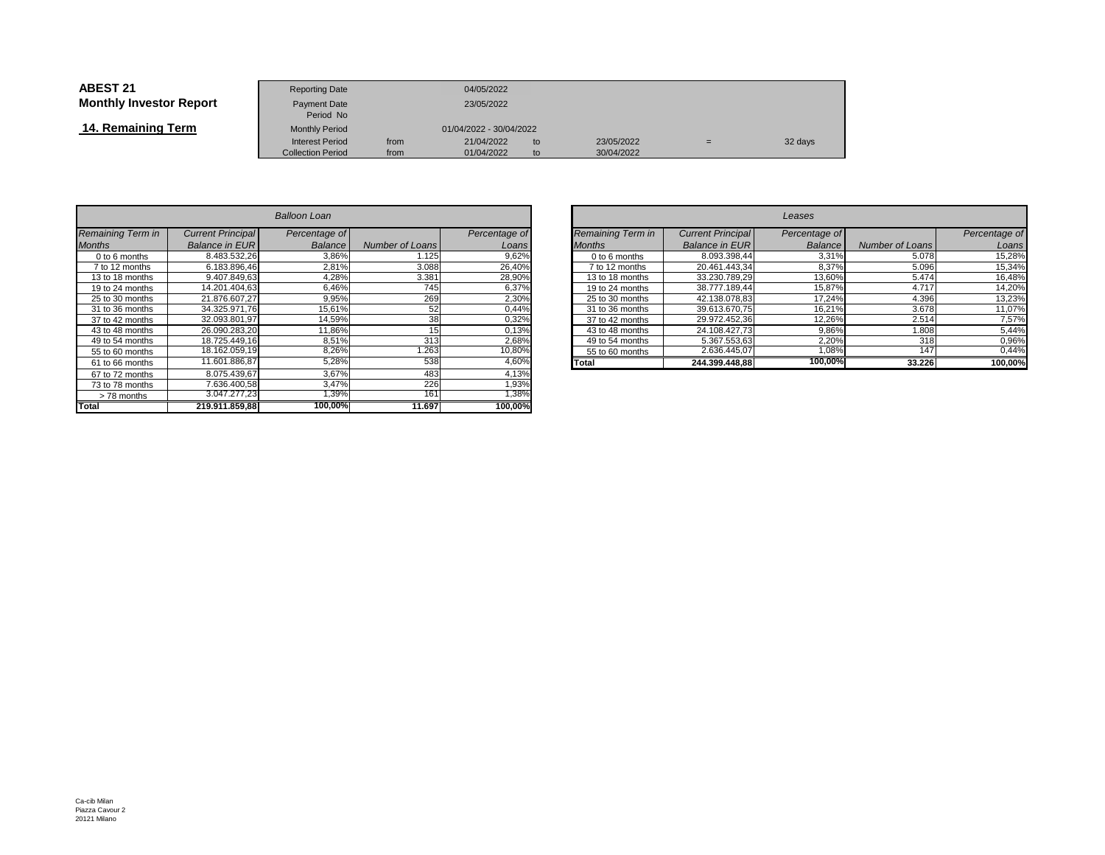| <b>ABEST 21</b>                | <b>Reporting Date</b>            |      | 04/05/2022              |    |            |     |         |
|--------------------------------|----------------------------------|------|-------------------------|----|------------|-----|---------|
| <b>Monthly Investor Report</b> | <b>Payment Date</b><br>Period No |      | 23/05/2022              |    |            |     |         |
| 14. Remaining Term             | <b>Monthly Period</b>            |      | 01/04/2022 - 30/04/2022 |    |            |     |         |
|                                | <b>Interest Period</b>           | from | 21/04/2022              | to | 23/05/2022 | $=$ | 32 days |
|                                | <b>Collection Period</b>         | from | 01/04/2022              | to | 30/04/2022 |     |         |

| Balloon Loan      |                          |               |                 |               |  |  |  |  |  |
|-------------------|--------------------------|---------------|-----------------|---------------|--|--|--|--|--|
| Remaining Term in | <b>Current Principal</b> | Percentage of |                 | Percentage of |  |  |  |  |  |
| <b>Months</b>     | <b>Balance in EUR</b>    | Balance       | Number of Loans | Loans         |  |  |  |  |  |
| 0 to 6 months     | 8.483.532.26             | 3,86%         | 1.125           | 9,62%         |  |  |  |  |  |
| 7 to 12 months    | 6.183.896.46             | 2,81%         | 3.088           | 26,40%        |  |  |  |  |  |
| 13 to 18 months   | 9.407.849.63             | 4,28%         | 3.381           | 28,90%        |  |  |  |  |  |
| 19 to 24 months   | 14.201.404.63            | 6,46%         | 745             | 6,37%         |  |  |  |  |  |
| 25 to 30 months   | 21.876.607.27            | 9,95%         | 269             | 2,30%         |  |  |  |  |  |
| 31 to 36 months   | 34.325.971.76            | 15,61%        | 52              | 0,44%         |  |  |  |  |  |
| 37 to 42 months   | 32.093.801,97            | 14,59%        | 38              | 0,32%         |  |  |  |  |  |
| 43 to 48 months   | 26.090.283.20            | 11,86%        | 15              | 0,13%         |  |  |  |  |  |
| 49 to 54 months   | 18.725.449.16            | 8,51%         | 313             | 2,68%         |  |  |  |  |  |
| 55 to 60 months   | 18.162.059,19            | 8,26%         | 1.263           | 10,80%        |  |  |  |  |  |
| 61 to 66 months   | 11.601.886.87            | 5,28%         | 538             | 4,60%         |  |  |  |  |  |
| 67 to 72 months   | 8.075.439.67             | 3,67%         | 483             | 4,13%         |  |  |  |  |  |
| 73 to 78 months   | 7.636.400.58             | 3,47%         | 226             | 1,93%         |  |  |  |  |  |
| >78 months        | 3.047.277,23             | 1,39%         | 161             | 1,38%         |  |  |  |  |  |
| <b>Total</b>      | 219.911.859,88           | 100,00%       | 11.697          | 100,00%       |  |  |  |  |  |

| $\overline{r}$              |                 |               |  | Leases                   |                          |               |                 |               |  |  |  |
|-----------------------------|-----------------|---------------|--|--------------------------|--------------------------|---------------|-----------------|---------------|--|--|--|
| ge of                       |                 | Percentage of |  | <b>Remaining Term in</b> | <b>Current Principal</b> | Percentage of |                 | Percentage of |  |  |  |
| ance                        | Number of Loans | Loans         |  | <b>Months</b>            | <b>Balance in EUR</b>    | Balance       | Number of Loans | Loans         |  |  |  |
| 3,86%                       | 1.125           | 9,62%         |  | 0 to 6 months            | 8.093.398.44             | 3,31%         | 5.078           | 15,28%        |  |  |  |
| 2,81%                       | 3.088           | 26,40%        |  | 7 to 12 months           | 20.461.443.34            | 8,37%         | 5.096           | 15,34%        |  |  |  |
| 1,28%                       | 3.381           | 28,90%        |  | 13 to 18 months          | 33.230.789,29            | 13,60%        | 5.474           | 16,48%        |  |  |  |
| 3,46%                       | 745             | 6,37%         |  | 19 to 24 months          | 38.777.189.44            | 15,87%        | 4.717           | 14,20%        |  |  |  |
| ,95%                        | 269             | 2,30%         |  | 25 to 30 months          | 42.138.078.83            | 17.24%        | 4.396           | 13,23%        |  |  |  |
| $5,61\%$                    | 52              | 0,44%         |  | 31 to 36 months          | 39.613.670.75            | 16,21%        | 3.678           | 11,07%        |  |  |  |
| .59%                        | 38              | 0,32%         |  | 37 to 42 months          | 29.972.452.36            | 12,26%        | 2.514           | 7,57%         |  |  |  |
| ,86%                        | 15              | 0.13%         |  | 43 to 48 months          | 24.108.427.73            | 9,86%         | 808.1           | 5,44%         |  |  |  |
| 3,51%                       | 313             | 2,68%         |  | 49 to 54 months          | 5.367.553.63             | 2,20%         | 318             | 0,96%         |  |  |  |
| 3,26%                       | .263            | 10,80%        |  | 55 to 60 months          | 2.636.445.07             | 1,08%         | 147             | 0,44%         |  |  |  |
| 5,28%                       | 538             | 4,60%         |  | Total                    | 244.399.448.88           | 100,00%       | 33.226          | 100,00%       |  |  |  |
| $\sim$ $\sim$ $\sim$ $\sim$ | 100             | 1.001         |  |                          |                          |               |                 |               |  |  |  |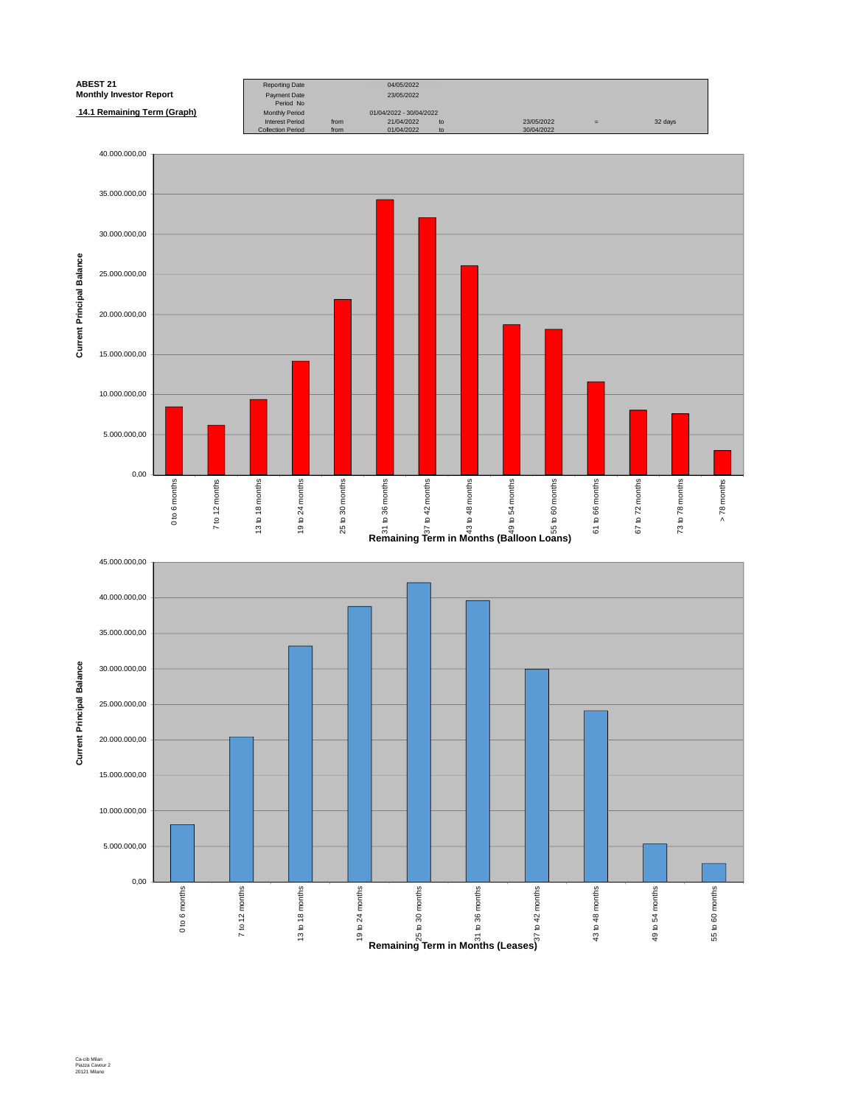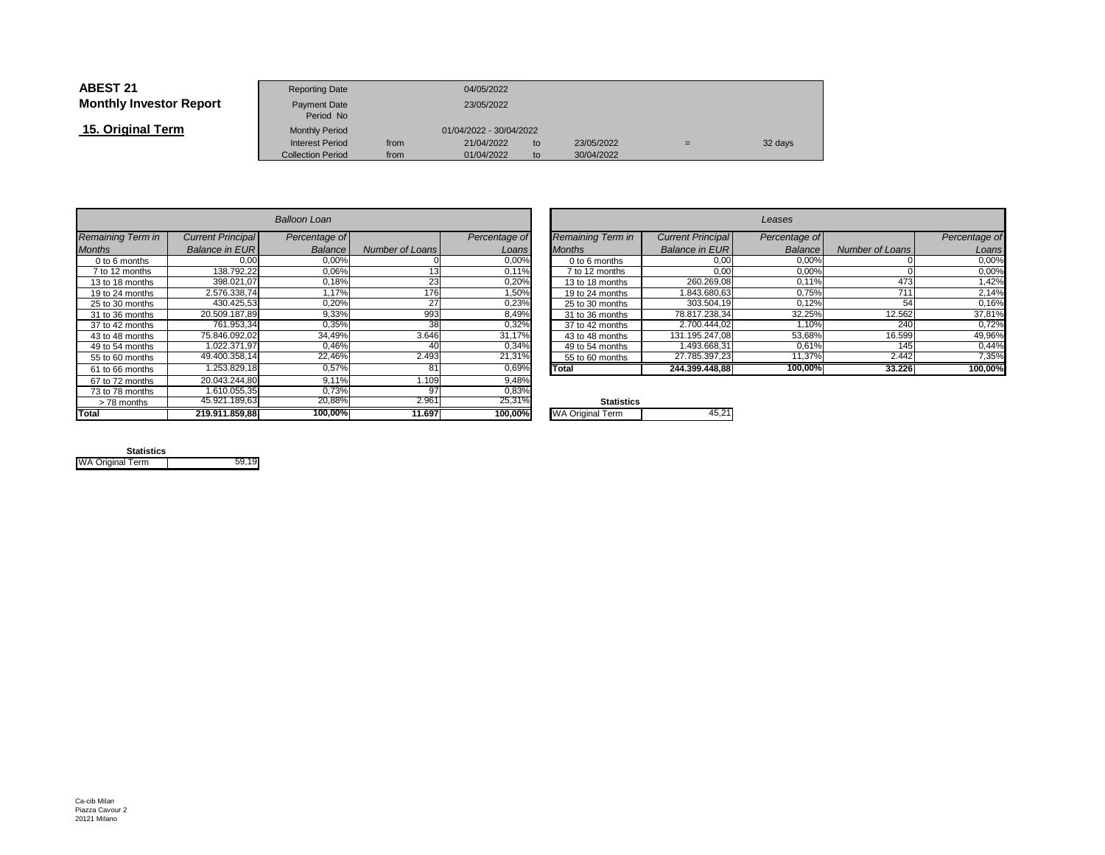| <b>ABEST 21</b>                | <b>Reporting Date</b>     |                         | 04/05/2022 |    |            |   |         |
|--------------------------------|---------------------------|-------------------------|------------|----|------------|---|---------|
| <b>Monthly Investor Report</b> | Payment Date<br>Period No |                         | 23/05/2022 |    |            |   |         |
| 15. Original Term              | <b>Monthly Period</b>     | 01/04/2022 - 30/04/2022 |            |    |            |   |         |
|                                | <b>Interest Period</b>    | from                    | 21/04/2022 | to | 23/05/2022 | = | 32 days |
|                                | <b>Collection Period</b>  | from                    | 01/04/2022 | to | 30/04/2022 |   |         |

|                   |                          | Balloon Loan   |                        |               |                         |
|-------------------|--------------------------|----------------|------------------------|---------------|-------------------------|
| Remaining Term in | <b>Current Principal</b> | Percentage of  |                        | Percentage of | Remaining Term in       |
| <b>Months</b>     | <b>Balance in EUR</b>    | <b>Balance</b> | <b>Number of Loans</b> | Loans         | <b>Months</b>           |
| $0$ to 6 months   | 0.00                     | 0.00%          |                        | 0,00%         | 0 to 6 months           |
| 7 to 12 months    | 138.792,22               | 0,06%          | 13                     | 0,11%         | 7 to 12 months          |
| 13 to 18 months   | 398.021.07               | 0.18%          | 23                     | 0,20%         | 13 to 18 months         |
| 19 to 24 months   | 2.576.338.74             | 1.17%          | 176                    | 1.50%         | 19 to 24 months         |
| 25 to 30 months   | 430.425,53               | 0,20%          | 27                     | 0,23%         | 25 to 30 months         |
| 31 to 36 months   | 20.509.187.89            | 9,33%          | 993                    | 8,49%         | 31 to 36 months         |
| 37 to 42 months   | 761.953.34               | 0.35%          | 38                     | 0,32%         | 37 to 42 months         |
| 43 to 48 months   | 75.846.092.02            | 34.49%         | 3.646                  | 31,17%        | 43 to 48 months         |
| 49 to 54 months   | 1.022.371.97             | 0.46%          | 40                     | 0,34%         | 49 to 54 months         |
| 55 to 60 months   | 49.400.358.14            | 22,46%         | 2.493                  | 21,31%        | 55 to 60 months         |
| 61 to 66 months   | 1.253.829.18             | 0.57%          | 81                     | 0,69%         | Total                   |
| 67 to 72 months   | 20.043.244.80            | 9,11%          | 1.109                  | 9,48%         |                         |
| 73 to 78 months   | 1.610.055.35             | 0.73%          | 97                     | 0,83%         |                         |
| > 78 months       | 45.921.189,63            | 20,88%         | 2.961                  | 25,31%        | <b>Statistics</b>       |
| <b>Total</b>      | 219.911.859,88           | 100.00%        | 11.697                 | 100,00%       | <b>WA Original Term</b> |

| $\overline{r}$ |                          |               |                   |                          | Leases        |                 |               |
|----------------|--------------------------|---------------|-------------------|--------------------------|---------------|-----------------|---------------|
| ge of          |                          | Percentage of | Remaining Term in | <b>Current Principal</b> | Percentage of |                 | Percentage of |
| ance           | Number of Loans          | Loans         | <b>Months</b>     | <b>Balance in EUR</b>    | Balance       | Number of Loans | Loans         |
| $0,00\%$       |                          | 0,00%         | 0 to 6 months     | 0,00                     | 0,00%         |                 | 0,00%         |
| $0,06\%$       | 13.                      | 0,11%         | 7 to 12 months    | 0,00                     | 0,00%         |                 | 0,00%         |
| ,18%           | 23                       | 0,20%         | 13 to 18 months   | 260.269,08               | 0,11%         | 473             | 1,42%         |
| ,17%           | 176                      | 1,50%         | 19 to 24 months   | 1.843.680,63             | 0.75%         | 711             | 2,14%         |
| ,20%           | 27                       | 0,23%         | 25 to 30 months   | 303.504.19               | 0,12%         | 54              | 0,16%         |
| $,33\%$        | 993                      | 8,49%         | 31 to 36 months   | 78.817.238,34            | 32,25%        | 12.562          | 37,81%        |
| 0,35%          | 38                       | 0,32%         | 37 to 42 months   | 2.700.444.02             | 1.10%         | 240             | 0,72%         |
| l,49%          | 3.646                    | 31.17%        | 43 to 48 months   | 131.195.247.08           | 53.68%        | 16.599          | 49,96%        |
| ,46%           | 40                       | 0,34%         | 49 to 54 months   | 1.493.668,31             | 0,61%         | 145             | 0,44%         |
| .46%           | 2.493                    | 21,31%        | 55 to 60 months   | 27.785.397,23            | 11,37%        | 2.442           | 7,35%         |
| 0,57%          | 81                       | 0,69%         | Total             | 244.399.448.88           | 100,00%       | 33.226          | 100,00%       |
| 1101           | $\overline{\phantom{0}}$ | 0.1001        |                   |                          |               |                 |               |

| $\mathbf{O}/$           | Statistics              |  |
|-------------------------|-------------------------|--|
| $\overline{\mathbf{v}}$ | <b>WA Original Term</b> |  |
|                         |                         |  |

| <b>Statistics</b>       |       |
|-------------------------|-------|
| <b>WA Original Term</b> | 59 19 |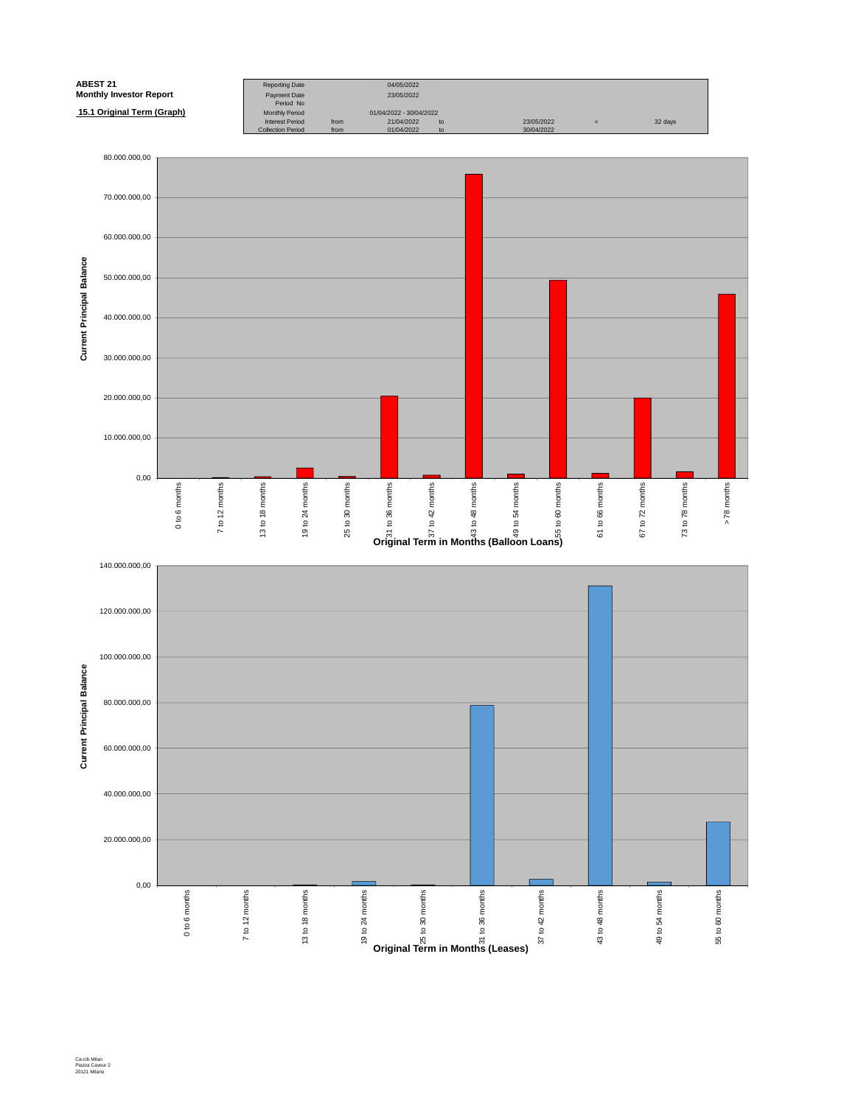

Ca-cib Milan Piazza Cavour 2 20121 Milano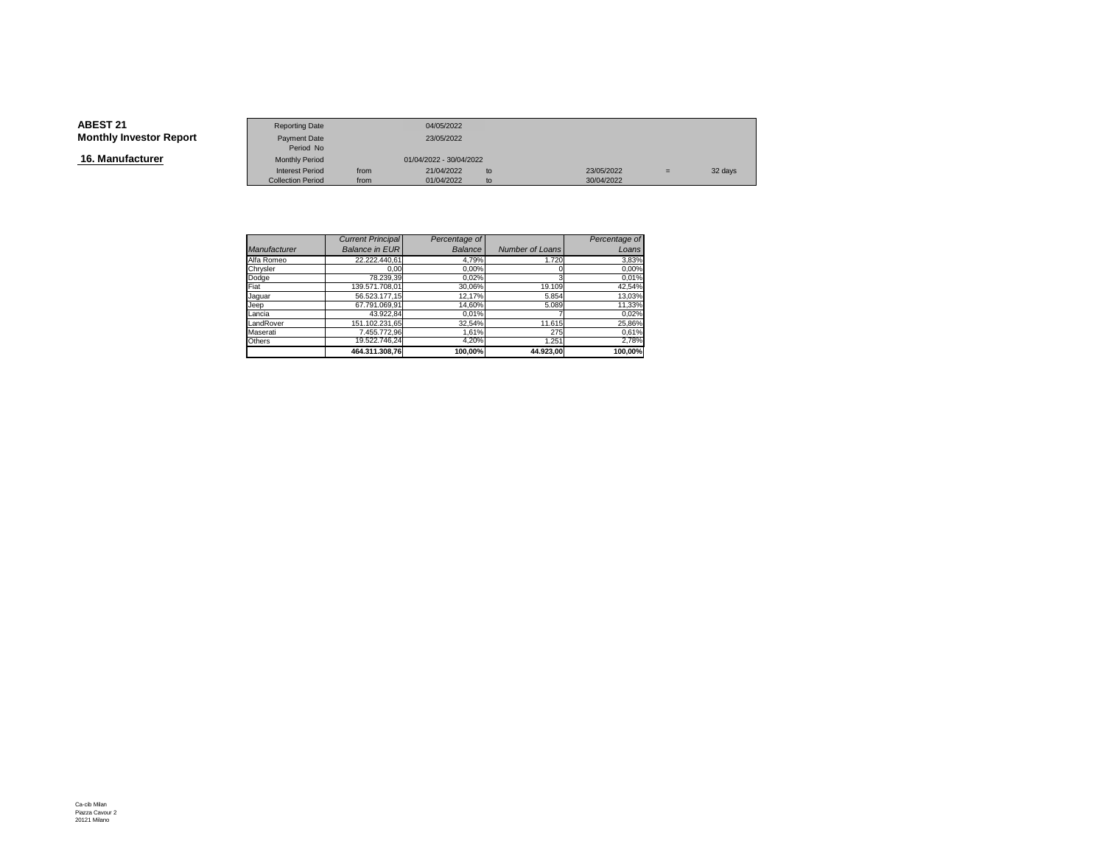**16. Manufacturer**

|                        | <b>Reporting Date</b>    |      | 04/05/2022              |    |            |     |         |
|------------------------|--------------------------|------|-------------------------|----|------------|-----|---------|
| <b>Investor Report</b> | Payment Date             |      | 23/05/2022              |    |            |     |         |
|                        | Period No                |      |                         |    |            |     |         |
| ıfacturer              | <b>Monthly Period</b>    |      | 01/04/2022 - 30/04/2022 |    |            |     |         |
|                        | <b>Interest Period</b>   | from | 21/04/2022              | to | 23/05/2022 | $=$ | 32 days |
|                        | <b>Collection Period</b> | from | 01/04/2022              | to | 30/04/2022 |     |         |

|                     | <b>Current Principal</b> | Percentage of |                 | Percentage of |
|---------------------|--------------------------|---------------|-----------------|---------------|
| <b>Manufacturer</b> | <b>Balance in EUR</b>    | Balance       | Number of Loans | Loans         |
| Alfa Romeo          | 22.222.440,61            | 4,79%         | 1.720           | 3,83%         |
| Chrysler            | 0.00                     | 0,00%         |                 | 0,00%         |
| Dodge               | 78.239.39                | 0.02%         |                 | 0,01%         |
| Fiat                | 139.571.708.01           | 30,06%        | 19.109          | 42,54%        |
| Jaquar              | 56.523.177.15            | 12.17%        | 5.854           | 13,03%        |
| Jeep                | 67.791.069.91            | 14.60%        | 5.089           | 11,33%        |
| Lancia              | 43.922.84                | 0,01%         |                 | 0,02%         |
| LandRover           | 151.102.231.65           | 32,54%        | 11.615          | 25,86%        |
| Maserati            | 7.455.772.96             | 1.61%         | 275             | 0,61%         |
| Others              | 19.522.746,24            | 4,20%         | 1.251           | 2,78%         |
|                     | 464.311.308.76           | 100.00%       | 44.923.00       | 100.00%       |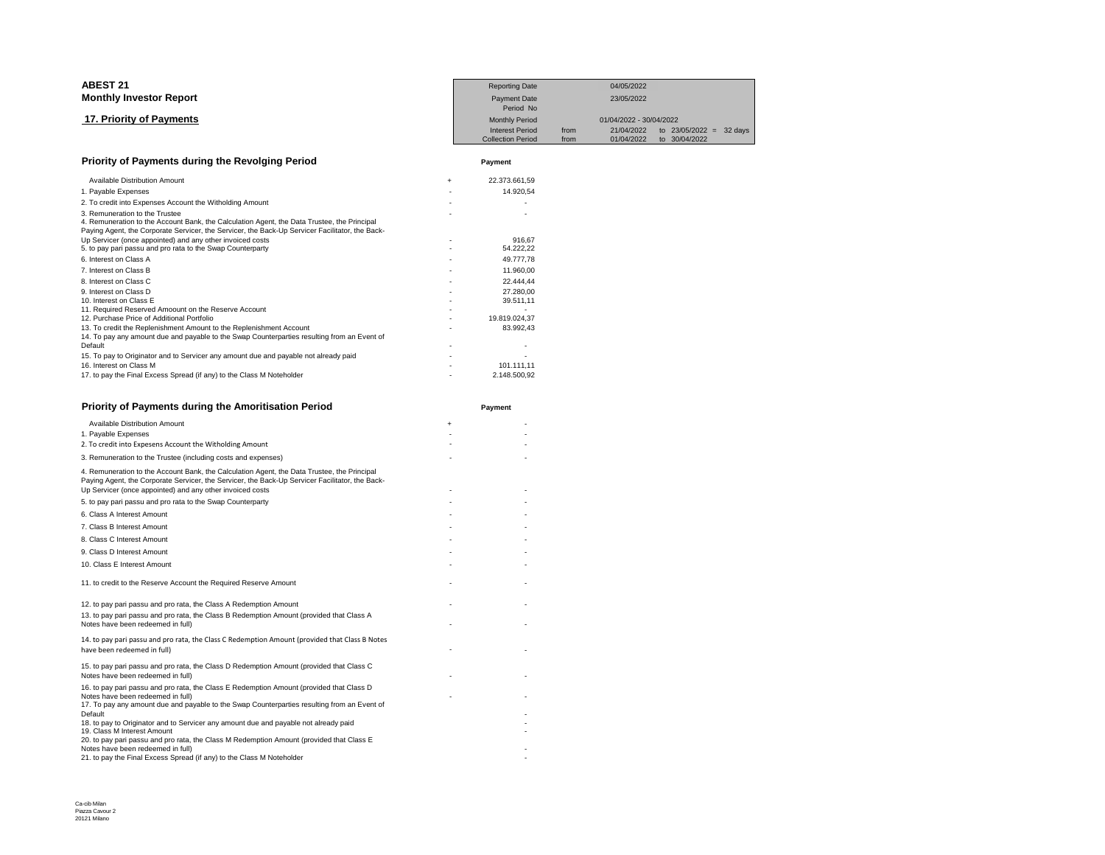| <b>ABEST 21</b>                                                                                                                                                                                                                  |     | <b>Reporting Date</b>            |      | 04/05/2022              |               |                |
|----------------------------------------------------------------------------------------------------------------------------------------------------------------------------------------------------------------------------------|-----|----------------------------------|------|-------------------------|---------------|----------------|
| <b>Monthly Investor Report</b>                                                                                                                                                                                                   |     | <b>Payment Date</b><br>Period No |      | 23/05/2022              |               |                |
| 17. Priority of Payments                                                                                                                                                                                                         |     | <b>Monthly Period</b>            |      | 01/04/2022 - 30/04/2022 |               |                |
|                                                                                                                                                                                                                                  |     | <b>Interest Period</b>           | from | 21/04/2022              | to 23/05/2022 | 32 days<br>$=$ |
|                                                                                                                                                                                                                                  |     | <b>Collection Period</b>         | from | 01/04/2022              | to 30/04/2022 |                |
| Priority of Payments during the Revolging Period                                                                                                                                                                                 |     | Payment                          |      |                         |               |                |
| Available Distribution Amount                                                                                                                                                                                                    | $+$ | 22.373.661,59                    |      |                         |               |                |
| 1. Payable Expenses                                                                                                                                                                                                              |     | 14.920,54                        |      |                         |               |                |
| 2. To credit into Expenses Account the Witholding Amount                                                                                                                                                                         |     |                                  |      |                         |               |                |
| 3. Remuneration to the Trustee<br>4. Remuneration to the Account Bank, the Calculation Agent, the Data Trustee, the Principal<br>Paying Agent, the Corporate Servicer, the Servicer, the Back-Up Servicer Facilitator, the Back- |     |                                  |      |                         |               |                |
| Up Servicer (once appointed) and any other invoiced costs                                                                                                                                                                        |     | 916.67                           |      |                         |               |                |
| 5. to pay pari passu and pro rata to the Swap Counterparty                                                                                                                                                                       |     | 54.222,22                        |      |                         |               |                |
| 6. Interest on Class A                                                                                                                                                                                                           |     | 49.777,78                        |      |                         |               |                |
| 7. Interest on Class B                                                                                                                                                                                                           |     | 11.960,00                        |      |                         |               |                |
| 8. Interest on Class C                                                                                                                                                                                                           |     | 22.444.44                        |      |                         |               |                |
| 9. Interest on Class D                                                                                                                                                                                                           |     | 27.280.00                        |      |                         |               |                |
| 10. Interest on Class E                                                                                                                                                                                                          |     | 39.511,11                        |      |                         |               |                |
| 11. Required Reserved Amoount on the Reserve Account                                                                                                                                                                             |     |                                  |      |                         |               |                |
| 12. Purchase Price of Additional Portfolio                                                                                                                                                                                       |     | 19.819.024,37                    |      |                         |               |                |
| 13. To credit the Replenishment Amount to the Replenishment Account                                                                                                                                                              |     | 83.992.43                        |      |                         |               |                |
| 14. To pay any amount due and payable to the Swap Counterparties resulting from an Event of                                                                                                                                      |     |                                  |      |                         |               |                |
| Default                                                                                                                                                                                                                          |     |                                  |      |                         |               |                |
| 15. To pay to Originator and to Servicer any amount due and payable not already paid                                                                                                                                             |     |                                  |      |                         |               |                |
| 16. Interest on Class M                                                                                                                                                                                                          |     | 101.111,11                       |      |                         |               |                |
| 17. to pay the Final Excess Spread (if any) to the Class M Noteholder                                                                                                                                                            |     | 2.148.500,92                     |      |                         |               |                |

| Priority of Payments during the Amoritisation Period                                                                                                                                                                                                        |           | Payment |
|-------------------------------------------------------------------------------------------------------------------------------------------------------------------------------------------------------------------------------------------------------------|-----------|---------|
| <b>Available Distribution Amount</b>                                                                                                                                                                                                                        | $\ddot{}$ |         |
| 1. Payable Expenses                                                                                                                                                                                                                                         |           |         |
| 2. To credit into Expesens Account the Witholding Amount                                                                                                                                                                                                    |           |         |
| 3. Remuneration to the Trustee (including costs and expenses)                                                                                                                                                                                               |           |         |
| 4. Remuneration to the Account Bank, the Calculation Agent, the Data Trustee, the Principal<br>Paying Agent, the Corporate Servicer, the Servicer, the Back-Up Servicer Facilitator, the Back-<br>Up Servicer (once appointed) and any other invoiced costs |           |         |
| 5. to pay pari passu and pro rata to the Swap Counterparty                                                                                                                                                                                                  |           |         |
| 6. Class A Interest Amount                                                                                                                                                                                                                                  |           |         |
| 7. Class B Interest Amount                                                                                                                                                                                                                                  |           |         |
| 8. Class C Interest Amount                                                                                                                                                                                                                                  |           |         |
| 9. Class D Interest Amount                                                                                                                                                                                                                                  |           |         |
| 10. Class E Interest Amount                                                                                                                                                                                                                                 |           |         |
| 11. to credit to the Reserve Account the Required Reserve Amount                                                                                                                                                                                            |           |         |
| 12. to pay pari passu and pro rata, the Class A Redemption Amount                                                                                                                                                                                           |           |         |
| 13. to pay pari passu and pro rata, the Class B Redemption Amount (provided that Class A<br>Notes have been redeemed in full)                                                                                                                               |           |         |
| 14. to pay pari passu and pro rata, the Class C Redemption Amount (provided that Class B Notes<br>have been redeemed in full)                                                                                                                               |           |         |
| 15. to pay pari passu and pro rata, the Class D Redemption Amount (provided that Class C<br>Notes have been redeemed in full)                                                                                                                               |           |         |
| 16. to pay pari passu and pro rata, the Class E Redemption Amount (provided that Class D<br>Notes have been redeemed in full)                                                                                                                               |           |         |
| 17. To pay any amount due and payable to the Swap Counterparties resulting from an Event of<br>Default                                                                                                                                                      |           |         |
| 18. to pay to Originator and to Servicer any amount due and payable not already paid<br>19. Class M Interest Amount                                                                                                                                         |           |         |
| 20. to pay pari passu and pro rata, the Class M Redemption Amount (provided that Class E<br>Notes have been redeemed in full)                                                                                                                               |           |         |
| 21. to pay the Final Excess Spread (if any) to the Class M Noteholder                                                                                                                                                                                       |           |         |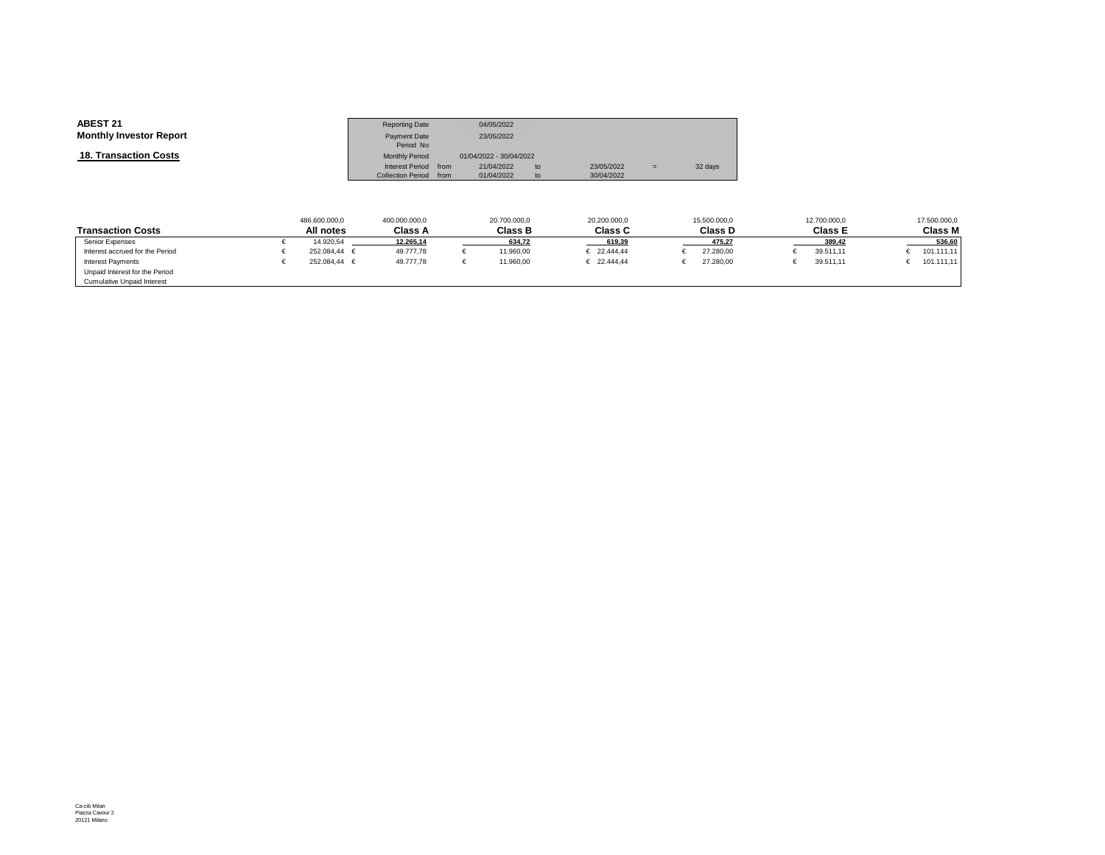| <b>Monthly Investor Report</b><br>23/05/2022<br>Payment Date                                                                                   |  |
|------------------------------------------------------------------------------------------------------------------------------------------------|--|
| Period No                                                                                                                                      |  |
| <b>18. Transaction Costs</b><br><b>Monthly Period</b><br>01/04/2022 - 30/04/2022                                                               |  |
| Interest Period from<br>21/04/2022<br>23/05/2022<br>32 days<br>to<br>$=$<br><b>Collection Period</b><br>30/04/2022<br>01/04/2022<br>from<br>to |  |

|                                   | 486.600.000,0    | 400.000.000,0  | 20.700.000,0   | 20.200.000,0         | 15.500.000,0 | 12.700.000,0   | 17.500.000,0   |
|-----------------------------------|------------------|----------------|----------------|----------------------|--------------|----------------|----------------|
| Transaction Costs                 | All notes        | <b>Class A</b> | <b>Class B</b> | <b>Class C</b>       | Class D      | <b>Class E</b> | <b>Class M</b> |
| Senior Expenses                   | 14.920.54        | 12.265.14      | 634.72         | 619.39               | 475.27       | 389.42         | 536.60         |
| Interest accrued for the Period   | $252.084.44 \in$ | 49,777,78      | 11.960,00      | € 22.444.44          | 27.280,00    | 39.511,11      | 101.111,11     |
| Interest Payments                 | $252.084.44 \in$ | 49.777.78      | 11.960.00      | $\epsilon$ 22.444.44 | 27,280.00    | 39.511.11      | 101.111,11     |
| Unpaid Interest for the Period    |                  |                |                |                      |              |                |                |
| <b>Cumulative Unpaid Interest</b> |                  |                |                |                      |              |                |                |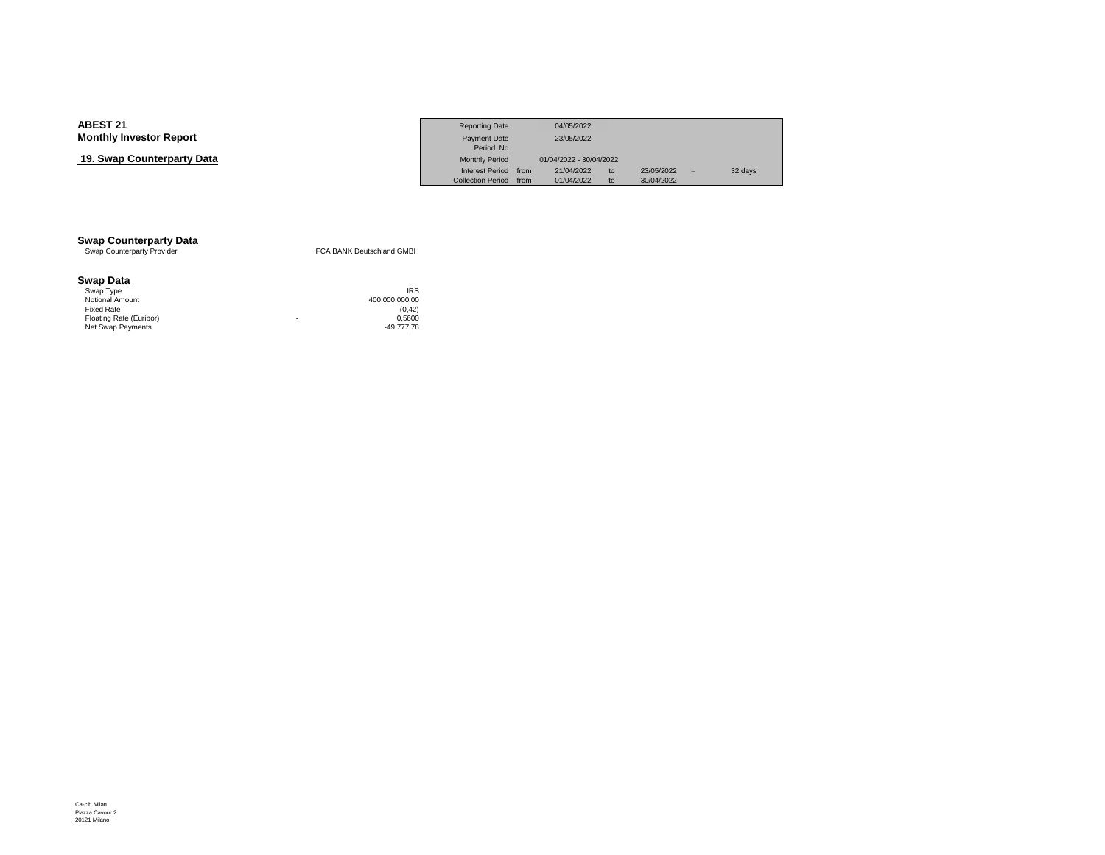## **19. Swap Counterparty Data**

|                            | <b>Reporting Date</b>    |      | 04/05/2022              |    |            |     |         |
|----------------------------|--------------------------|------|-------------------------|----|------------|-----|---------|
| Investor Report            | <b>Payment Date</b>      |      | 23/05/2022              |    |            |     |         |
|                            | Period No                |      |                         |    |            |     |         |
| <b>› Counterpartv Data</b> | <b>Monthly Period</b>    |      | 01/04/2022 - 30/04/2022 |    |            |     |         |
|                            | <b>Interest Period</b>   | from | 21/04/2022              | to | 23/05/2022 | $=$ | 32 days |
|                            | <b>Collection Period</b> | from | 01/04/2022              | to | 30/04/2022 |     |         |

# **Swap Counterparty Data**<br>
Swap Counterparty Provider

FCA BANK Deutschland GMBH

#### **Swap Data**

| Swap Type               |   | <b>IRS</b>     |
|-------------------------|---|----------------|
| Notional Amount         |   | 400.000.000.00 |
| Fixed Rate              |   | (0.42)         |
| Floating Rate (Euribor) | ۰ | 0.5600         |
| Net Swap Payments       |   | -49.777.78     |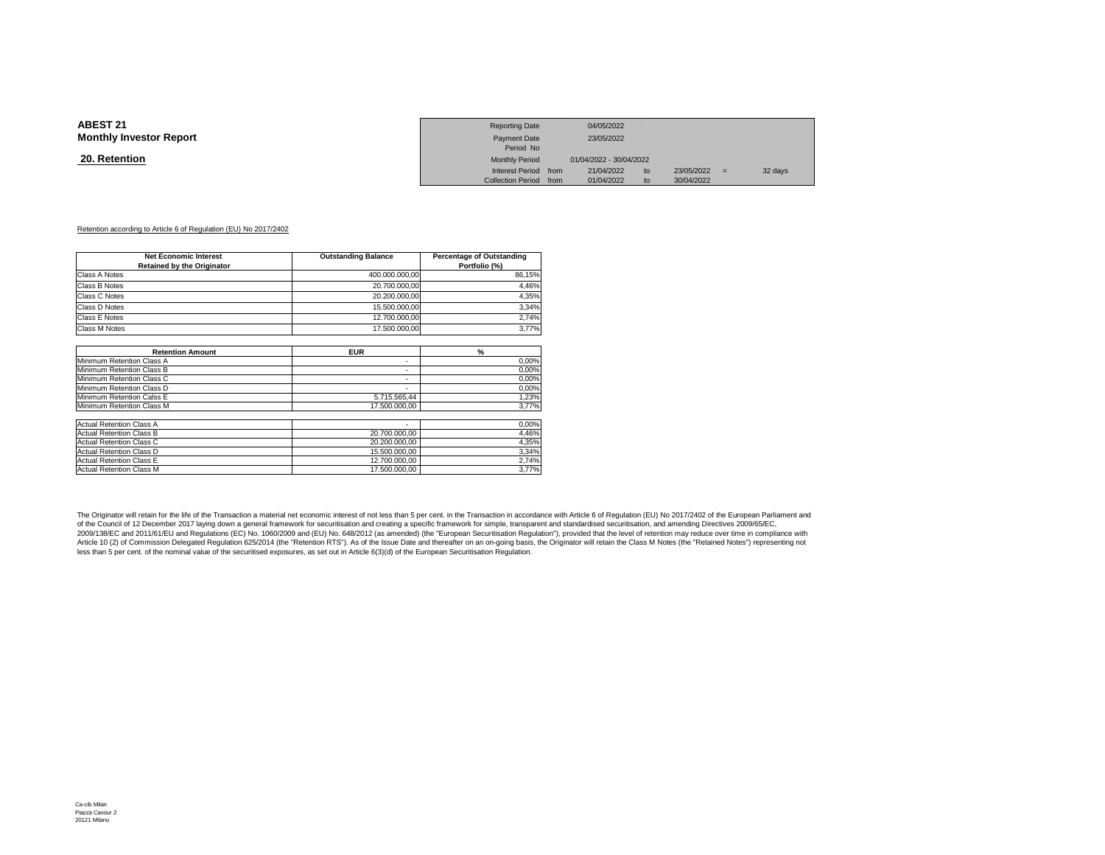#### **20. Retention**

|                 | <b>Reporting Date</b>  | 04/05/2022              |    |            |     |         |
|-----------------|------------------------|-------------------------|----|------------|-----|---------|
| Investor Report | Payment Date           | 23/05/2022              |    |            |     |         |
|                 | Period No              |                         |    |            |     |         |
| <u>ntion</u>    | <b>Monthly Period</b>  | 01/04/2022 - 30/04/2022 |    |            |     |         |
|                 | Interest Period from   | 21/04/2022              | to | 23/05/2022 | $=$ | 32 days |
|                 | Collection Period from | 01/04/2022              | to | 30/04/2022 |     |         |

#### Retention according to Article 6 of Regulation (EU) No 2017/2402

| <b>Net Economic Interest</b><br><b>Retained by the Originator</b> | <b>Outstanding Balance</b> | <b>Percentage of Outstanding</b><br>Portfolio (%) |
|-------------------------------------------------------------------|----------------------------|---------------------------------------------------|
| Class A Notes                                                     | 400.000.000,00             | 86,15%                                            |
| Class B Notes                                                     | 20.700.000,00              | 4,46%                                             |
| Class C Notes                                                     | 20.200.000.00              | 4,35%                                             |
| Class D Notes                                                     | 15.500.000,00              | 3,34%                                             |
| Class E Notes                                                     | 12.700.000,00              | 2,74%                                             |
| <b>Class M Notes</b>                                              | 17.500.000.00              | 3,77%                                             |
|                                                                   |                            |                                                   |
| <b>Retention Amount</b>                                           | <b>EUR</b>                 | $\frac{9}{6}$                                     |
| Minimum Retention Class A                                         | ٠                          | 0,00%                                             |
| Minimum Retention Class B                                         | ٠                          | 0,00%                                             |
| Minimum Retention Class C                                         | ٠                          | 0,00%                                             |
| Minimum Retention Class D                                         | ٠                          | 0,00%                                             |
| Minimum Retention Calss E                                         | 5.715.565,44               | 1,23%                                             |
| Minimum Retention Class M                                         | 17.500.000.00              | 3,77%                                             |
| <b>Actual Retention Class A</b>                                   |                            | 0,00%                                             |
| <b>Actual Retention Class B</b>                                   | 20.700.000,00              | 4,46%                                             |
| <b>Actual Retention Class C</b>                                   | 20.200.000,00              | 4,35%                                             |
| <b>Actual Retention Class D</b>                                   | 15.500.000,00              | 3,34%                                             |
| <b>Actual Retention Class E</b>                                   | 12.700.000,00              | 2,74%                                             |
| <b>Actual Retention Class M</b>                                   | 17.500.000.00              | 3,77%                                             |

The Originator will retain for the life of the Transaction a material net economic interest of not less than 5 per cent. in the Transaction in accordance with Article 6 of Regulation (EU) No 2017/2402 of the European Parli of the Council of 12 December 2017 laying down a general framework for securitisation and creating a specific framework for simple, transparent and standardised securitisation, and amending Directives 2009/65/EC, 2009/138/EC and 2011/61/EU and Regulations (EC) No. 1060/2009 and (EU) No. 648/2012 (as amended) (the "European Securitisation Regulation"), provided that the level of retention may reduce over time in compliance with<br>Arti less than 5 per cent. of the nominal value of the securitised exposures, as set out in Article 6(3)(d) of the European Securitisation Regulation.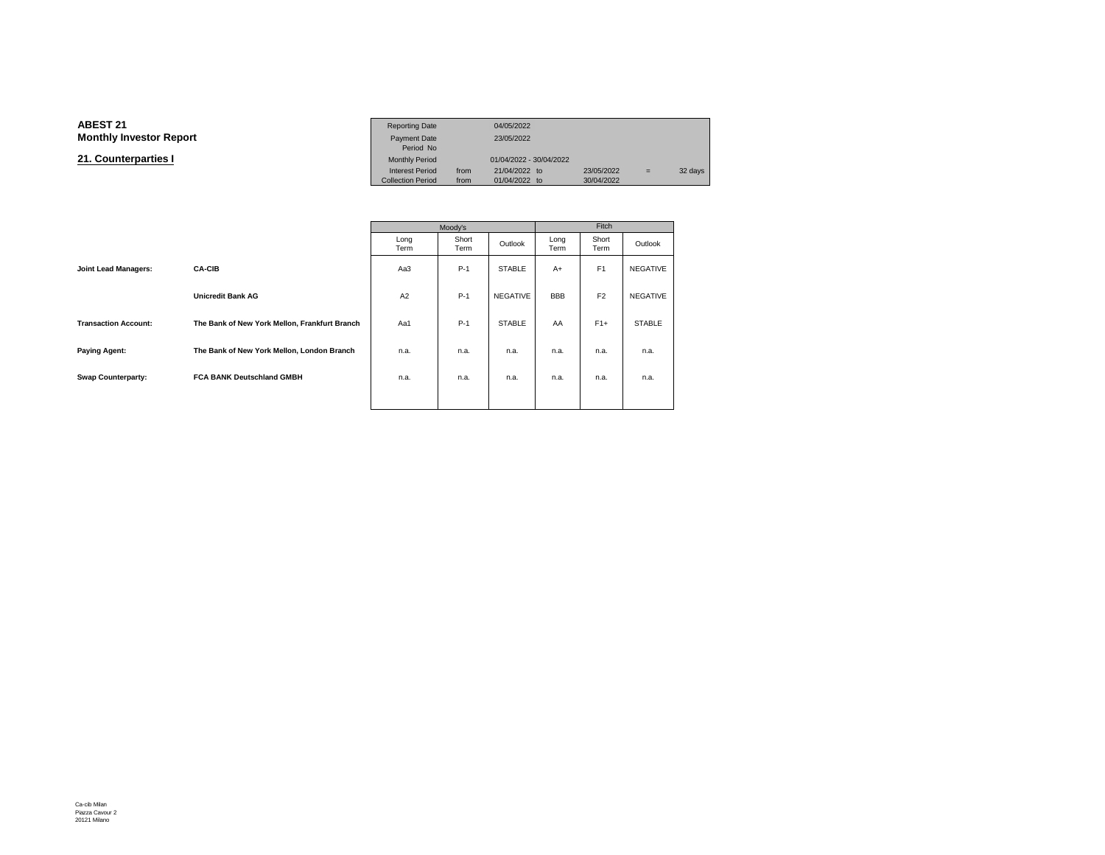#### **ABEST 211** Reporting Date 04/05/2022 **Monthly Investor Report**

**21. Counterparties I**

|       | <b>Reporting Date</b>    |      | 04/05/2022              |            |     |         |
|-------|--------------------------|------|-------------------------|------------|-----|---------|
| eport | Payment Date             |      | 23/05/2022              |            |     |         |
|       | Period No                |      |                         |            |     |         |
|       | <b>Monthly Period</b>    |      | 01/04/2022 - 30/04/2022 |            |     |         |
|       | <b>Interest Period</b>   | from | 21/04/2022 to           | 23/05/2022 | $=$ | 32 days |
|       | <b>Collection Period</b> | from | 01/04/2022 to           | 30/04/2022 |     |         |

|                             |                                               | Moody's      |               |                 | Fitch        |                |                 |  |
|-----------------------------|-----------------------------------------------|--------------|---------------|-----------------|--------------|----------------|-----------------|--|
|                             |                                               | Long<br>Term | Short<br>Term | Outlook         | Long<br>Term | Short<br>Term  | Outlook         |  |
| Joint Lead Managers:        | <b>CA-CIB</b>                                 | Aa3          | $P-1$         | <b>STABLE</b>   | $A+$         | F <sub>1</sub> | NEGATIVE        |  |
|                             | <b>Unicredit Bank AG</b>                      | A2           | $P-1$         | <b>NEGATIVE</b> | <b>BBB</b>   | F <sub>2</sub> | <b>NEGATIVE</b> |  |
| <b>Transaction Account:</b> | The Bank of New York Mellon, Frankfurt Branch | Aa1          | $P-1$         | <b>STABLE</b>   | AA           | $F1+$          | <b>STABLE</b>   |  |
| <b>Paying Agent:</b>        | The Bank of New York Mellon, London Branch    | n.a.         | n.a.          | n.a.            | n.a.         | n.a.           | n.a.            |  |
| <b>Swap Counterparty:</b>   | <b>FCA BANK Deutschland GMBH</b>              | n.a.         | n.a.          | n.a.            | n.a.         | n.a.           | n.a.            |  |
|                             |                                               |              |               |                 |              |                |                 |  |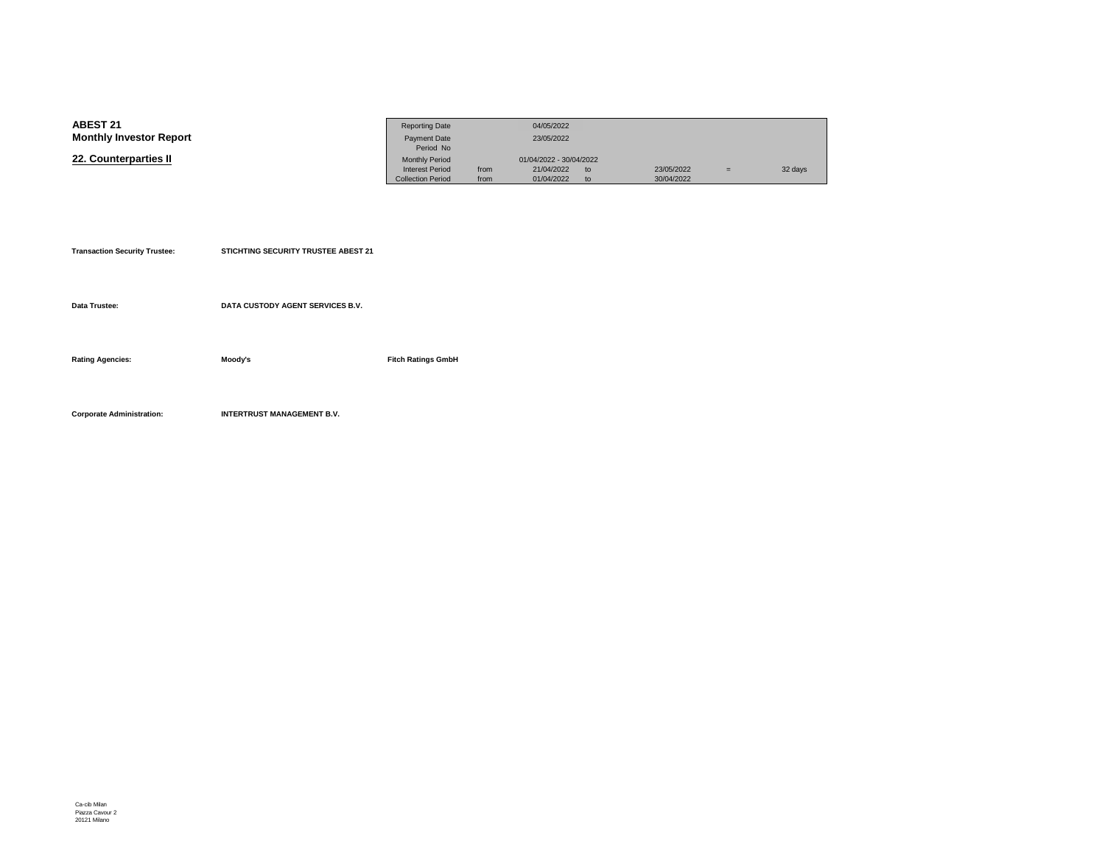| <b>ABEST 21</b>                | <b>Reporting Date</b>    |      | 04/05/2022              |    |            |     |         |
|--------------------------------|--------------------------|------|-------------------------|----|------------|-----|---------|
| <b>Monthly Investor Report</b> | <b>Payment Date</b>      |      | 23/05/2022              |    |            |     |         |
|                                | Period No                |      |                         |    |            |     |         |
| 22. Counterparties II          | <b>Monthly Period</b>    |      | 01/04/2022 - 30/04/2022 |    |            |     |         |
|                                | <b>Interest Period</b>   | from | 21/04/2022              | to | 23/05/2022 | $=$ | 32 days |
|                                | <b>Collection Period</b> | from | 01/04/2022              | to | 30/04/2022 |     |         |

| <b>Transaction Security Trustee:</b> | <b>STICHTING SECURITY TRUSTEE ABEST 21</b> |                           |
|--------------------------------------|--------------------------------------------|---------------------------|
|                                      |                                            |                           |
| Data Trustee:                        | DATA CUSTODY AGENT SERVICES B.V.           |                           |
| <b>Rating Agencies:</b>              | Moody's                                    | <b>Fitch Ratings GmbH</b> |
|                                      |                                            |                           |
| <b>Corporate Administration:</b>     | <b>INTERTRUST MANAGEMENT B.V.</b>          |                           |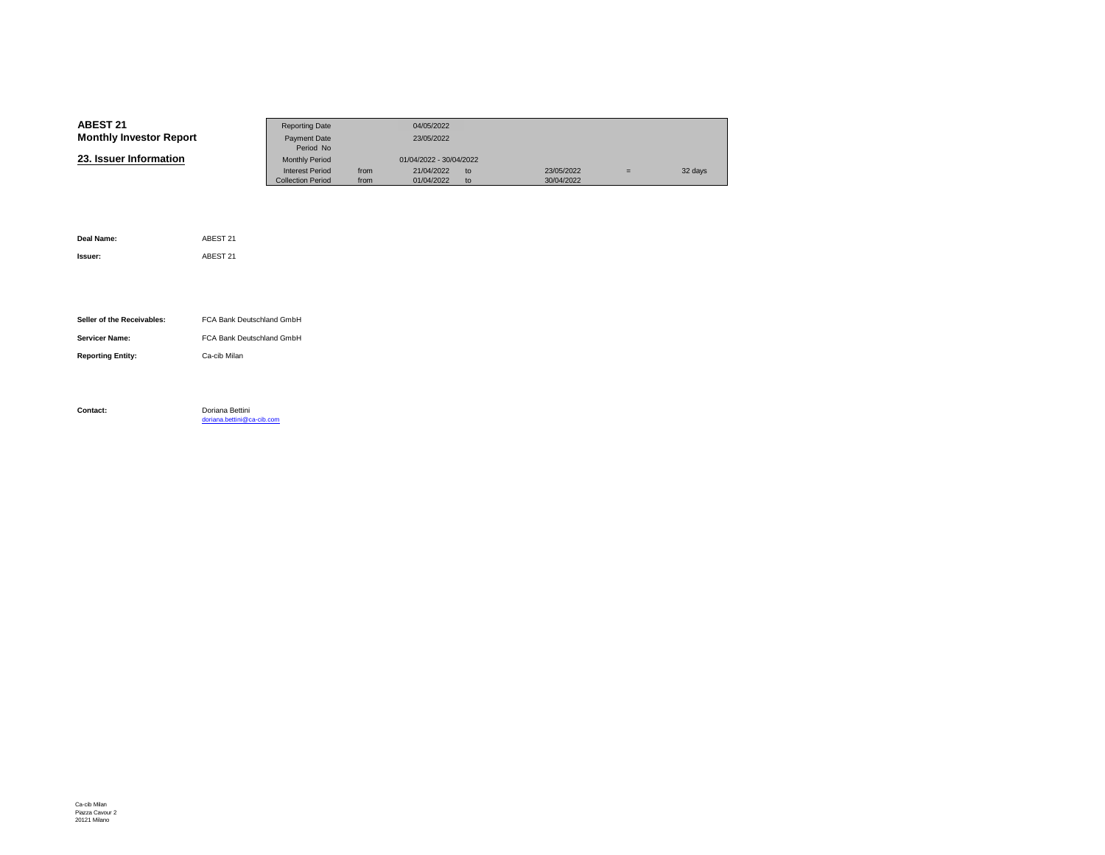| <b>ABEST 21</b>                | <b>Reporting Date</b>    |      | 04/05/2022              |    |            |   |         |
|--------------------------------|--------------------------|------|-------------------------|----|------------|---|---------|
| <b>Monthly Investor Report</b> | Payment Date             |      | 23/05/2022              |    |            |   |         |
|                                | Period No                |      |                         |    |            |   |         |
| 23. Issuer Information         | <b>Monthly Period</b>    |      | 01/04/2022 - 30/04/2022 |    |            |   |         |
|                                | <b>Interest Period</b>   | from | 21/04/2022              | to | 23/05/2022 | Ξ | 32 days |
|                                | <b>Collection Period</b> | from | 01/04/2022              | to | 30/04/2022 |   |         |

| Deal Name:                 | ABEST 21                                      |
|----------------------------|-----------------------------------------------|
| Issuer:                    | ABEST 21                                      |
|                            |                                               |
|                            |                                               |
| Seller of the Receivables: | FCA Bank Deutschland GmbH                     |
| <b>Servicer Name:</b>      | FCA Bank Deutschland GmbH                     |
| <b>Reporting Entity:</b>   | Ca-cib Milan                                  |
|                            |                                               |
|                            |                                               |
| Contact:                   | Doriana Bettini<br>doriana.bettini@ca-cib.com |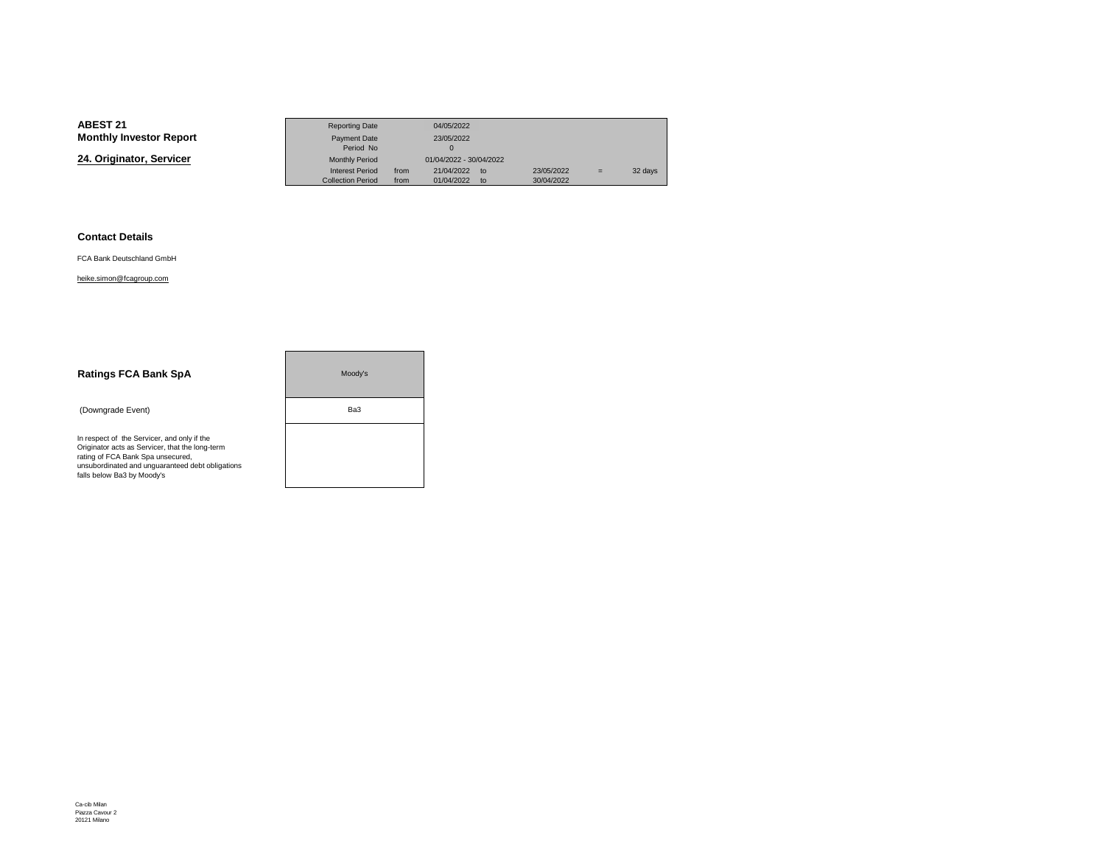**24. Originator, Servicer**

|                 | <b>Reporting Date</b>    |      | 04/05/2022                  |            |     |         |
|-----------------|--------------------------|------|-----------------------------|------------|-----|---------|
| Investor Report | Payment Date             |      | 23/05/2022                  |            |     |         |
|                 | Period No                |      |                             |            |     |         |
| nator. Servicer | <b>Monthly Period</b>    |      | 01/04/2022 - 30/04/2022     |            |     |         |
|                 | <b>Interest Period</b>   | from | 21/04/2022<br>$\mathsf{to}$ | 23/05/2022 | $=$ | 32 days |
|                 | <b>Collection Period</b> | from | 01/04/2022<br>to            | 30/04/2022 |     |         |

#### **Contact Details**

FCA Bank Deutschland GmbH

#### heike.simon@fcagroup.com

| <b>Ratings FCA Bank SpA</b>                                                                                                                                                                                           | Moodv's |
|-----------------------------------------------------------------------------------------------------------------------------------------------------------------------------------------------------------------------|---------|
| (Downgrade Event)                                                                                                                                                                                                     | Ba3     |
| In respect of the Servicer, and only if the<br>Originator acts as Servicer, that the long-term<br>rating of FCA Bank Spa unsecured,<br>unsubordinated and unquaranteed debt obligations<br>falls below Ba3 by Moody's |         |